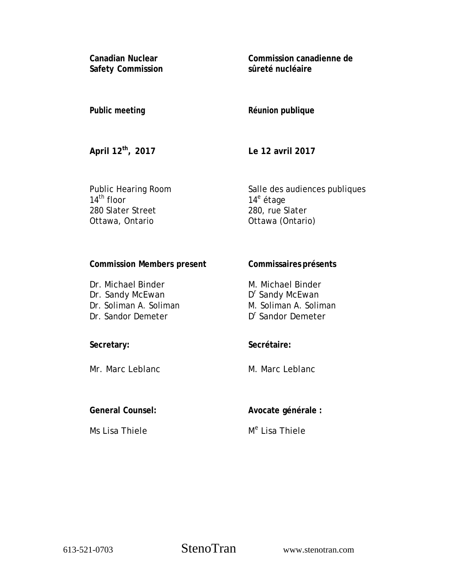**Canadian Nuclear Safety Commission**  **Commission canadienne de sûreté nucléaire** 

## **Public meeting**

**Réunion publique** 

**April 12th, 2017** 

**Le 12 avril 2017** 

Public Hearing Room  $14^{\text{th}}$  floor 280 Slater Street Ottawa, Ontario

Salle des audiences publiques 14<sup>e</sup> étage 280, rue Slater Ottawa (Ontario)

# **Commission Members present**

Dr. Michael Binder Dr. Sandy McEwan Dr. Soliman A. Soliman Dr. Sandor Demeter

## M. Michael Binder D<sup>r</sup> Sandy McEwan

M. Soliman A. Soliman

**Commissaires présents** 

D<sup>r</sup> Sandor Demeter

## **Secretary:**

Mr. Marc Leblanc

## **Secrétaire:**

M. Marc Leblanc

## **General Counsel:**

Ms Lisa Thiele

# **Avocate générale :**

# M<sup>e</sup> Lisa Thiele

613-521-0703 StenoTran www.stenotran.com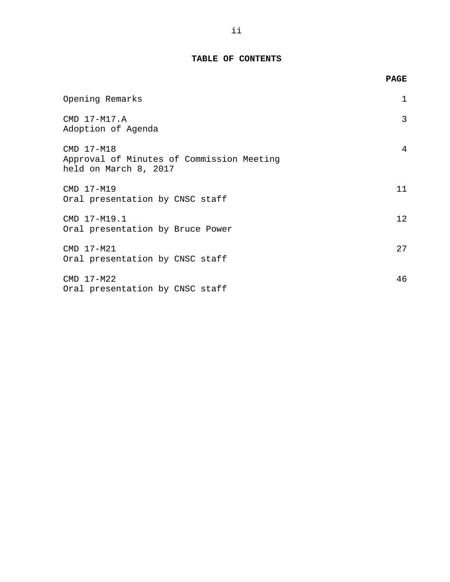## **TABLE OF CONTENTS**

|                                                                                  | <b>PAGE</b> |
|----------------------------------------------------------------------------------|-------------|
| Opening Remarks                                                                  | 1           |
| CMD 17-M17.A<br>Adoption of Agenda                                               | 3           |
| CMD 17-M18<br>Approval of Minutes of Commission Meeting<br>held on March 8, 2017 | 4           |
| CMD 17-M19<br>Oral presentation by CNSC staff                                    | 11          |
| CMD 17-M19.1<br>Oral presentation by Bruce Power                                 | 12          |
| CMD 17-M21<br>Oral presentation by CNSC staff                                    | 27          |
| CMD 17-M22<br>Oral presentation by CNSC staff                                    | 46          |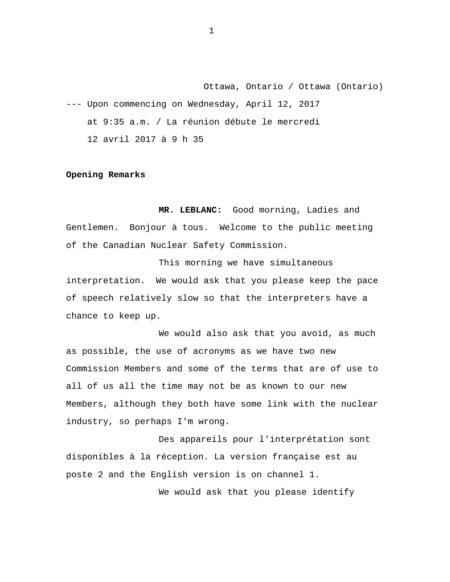<span id="page-2-0"></span>Ottawa, Ontario / Ottawa (Ontario) --- Upon commencing on Wednesday, April 12, 2017 at 9:35 a.m. / La réunion débute le mercredi 12 avril 2017 à 9 h 35

### **Opening Remarks**

**MR. LEBLANC:** Good morning, Ladies and Gentlemen. Bonjour à tous. Welcome to the public meeting of the Canadian Nuclear Safety Commission.

This morning we have simultaneous interpretation. We would ask that you please keep the pace of speech relatively slow so that the interpreters have a chance to keep up.

We would also ask that you avoid, as much as possible, the use of acronyms as we have two new Commission Members and some of the terms that are of use to all of us all the time may not be as known to our new Members, although they both have some link with the nuclear industry, so perhaps I'm wrong.

Des appareils pour l'interprétation sont disponibles à la réception. La version française est au poste 2 and the English version is on channel 1.

We would ask that you please identify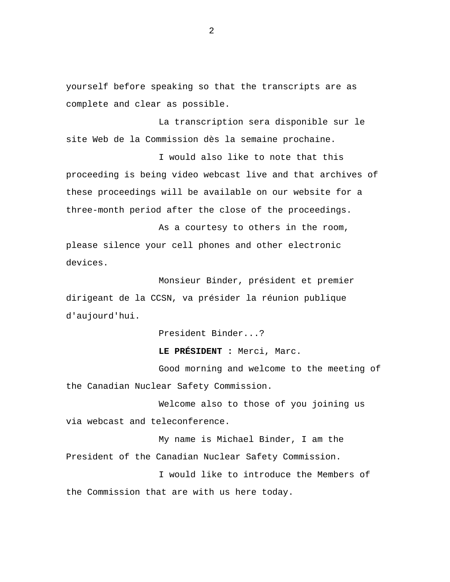yourself before speaking so that the transcripts are as complete and clear as possible.

La transcription sera disponible sur le site Web de la Commission dès la semaine prochaine.

I would also like to note that this proceeding is being video webcast live and that archives of these proceedings will be available on our website for a three-month period after the close of the proceedings.

As a courtesy to others in the room, please silence your cell phones and other electronic devices.

Monsieur Binder, président et premier dirigeant de la CCSN, va présider la réunion publique d'aujourd'hui.

President Binder...?

### **LE PRÉSIDENT :** Merci, Marc.

Good morning and welcome to the meeting of the Canadian Nuclear Safety Commission.

Welcome also to those of you joining us via webcast and teleconference.

My name is Michael Binder, I am the President of the Canadian Nuclear Safety Commission.

I would like to introduce the Members of the Commission that are with us here today.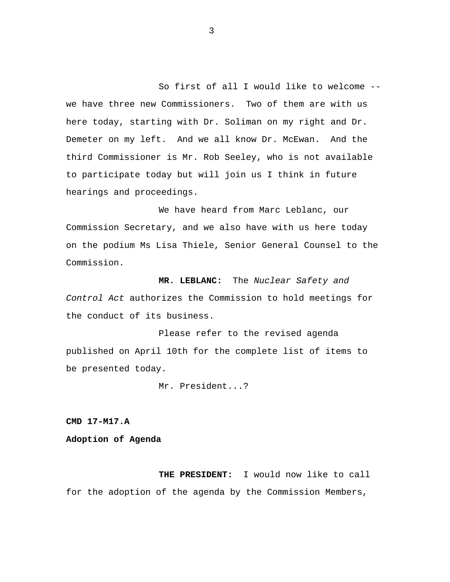<span id="page-4-0"></span>So first of all I would like to welcome - we have three new Commissioners. Two of them are with us here today, starting with Dr. Soliman on my right and Dr. Demeter on my left. And we all know Dr. McEwan. And the third Commissioner is Mr. Rob Seeley, who is not available to participate today but will join us I think in future hearings and proceedings.

We have heard from Marc Leblanc, our Commission Secretary, and we also have with us here today on the podium Ms Lisa Thiele, Senior General Counsel to the Commission.

**MR. LEBLANC:** The *Nuclear Safety and Control Act* authorizes the Commission to hold meetings for the conduct of its business.

Please refer to the revised agenda published on April 10th for the complete list of items to be presented today.

Mr. President...?

**CMD 17-M17.A** 

**Adoption of Agenda** 

**THE PRESIDENT:** I would now like to call for the adoption of the agenda by the Commission Members,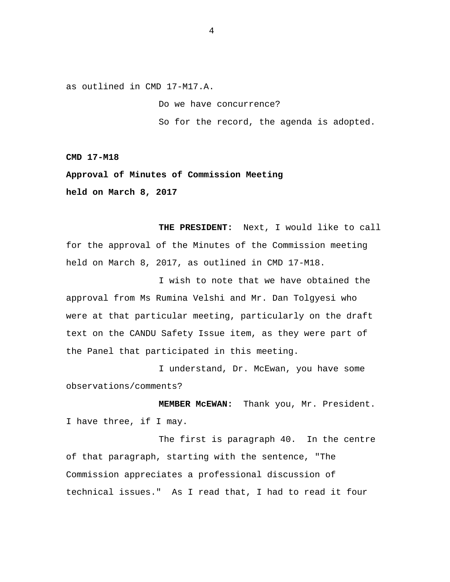<span id="page-5-0"></span>as outlined in CMD 17-M17.A.

Do we have concurrence?

So for the record, the agenda is adopted.

**CMD 17-M18** 

**Approval of Minutes of Commission Meeting held on March 8, 2017** 

**THE PRESIDENT:** Next, I would like to call for the approval of the Minutes of the Commission meeting held on March 8, 2017, as outlined in CMD 17-M18.

I wish to note that we have obtained the approval from Ms Rumina Velshi and Mr. Dan Tolgyesi who were at that particular meeting, particularly on the draft text on the CANDU Safety Issue item, as they were part of the Panel that participated in this meeting.

I understand, Dr. McEwan, you have some observations/comments?

**MEMBER McEWAN:** Thank you, Mr. President. I have three, if I may.

The first is paragraph 40. In the centre of that paragraph, starting with the sentence, "The Commission appreciates a professional discussion of technical issues." As I read that, I had to read it four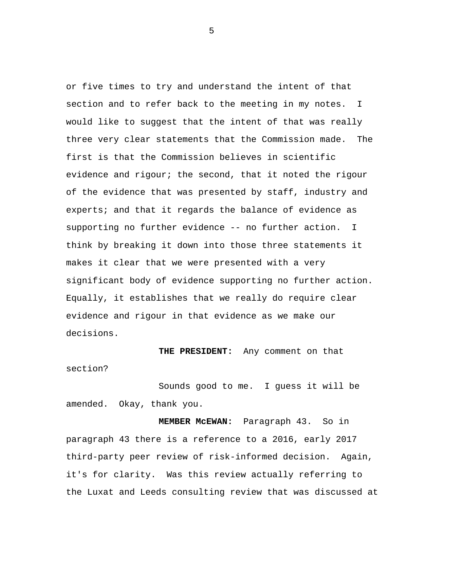or five times to try and understand the intent of that section and to refer back to the meeting in my notes. I would like to suggest that the intent of that was really three very clear statements that the Commission made. The first is that the Commission believes in scientific evidence and rigour; the second, that it noted the rigour of the evidence that was presented by staff, industry and experts; and that it regards the balance of evidence as supporting no further evidence -- no further action. I think by breaking it down into those three statements it makes it clear that we were presented with a very significant body of evidence supporting no further action. Equally, it establishes that we really do require clear evidence and rigour in that evidence as we make our decisions.

**THE PRESIDENT:** Any comment on that section?

Sounds good to me. I guess it will be amended. Okay, thank you.

**MEMBER McEWAN:** Paragraph 43. So in paragraph 43 there is a reference to a 2016, early 2017 third-party peer review of risk-informed decision. Again, it's for clarity. Was this review actually referring to the Luxat and Leeds consulting review that was discussed at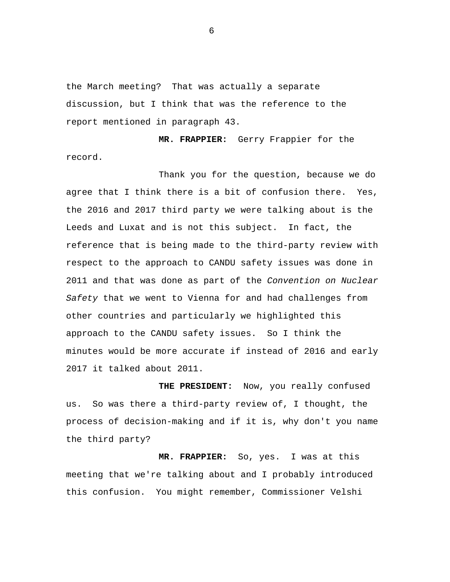the March meeting? That was actually a separate discussion, but I think that was the reference to the report mentioned in paragraph 43.

**MR. FRAPPIER:** Gerry Frappier for the record.

Thank you for the question, because we do agree that I think there is a bit of confusion there. Yes, the 2016 and 2017 third party we were talking about is the Leeds and Luxat and is not this subject. In fact, the reference that is being made to the third-party review with respect to the approach to CANDU safety issues was done in 2011 and that was done as part of the *Convention on Nuclear Safety* that we went to Vienna for and had challenges from other countries and particularly we highlighted this approach to the CANDU safety issues. So I think the minutes would be more accurate if instead of 2016 and early 2017 it talked about 2011.

**THE PRESIDENT:** Now, you really confused us. So was there a third-party review of, I thought, the process of decision-making and if it is, why don't you name the third party?

**MR. FRAPPIER:** So, yes. I was at this meeting that we're talking about and I probably introduced this confusion. You might remember, Commissioner Velshi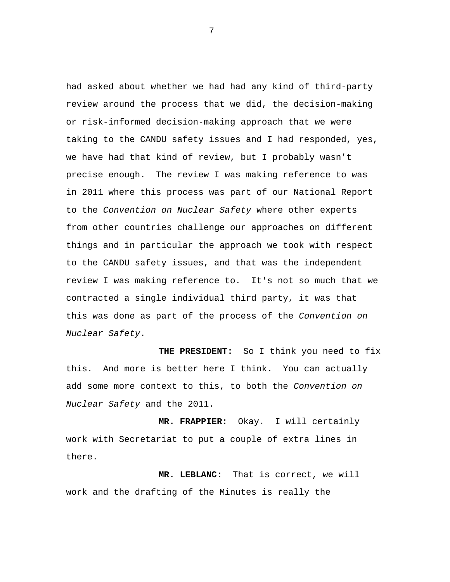had asked about whether we had had any kind of third-party review around the process that we did, the decision-making or risk-informed decision-making approach that we were taking to the CANDU safety issues and I had responded, yes, we have had that kind of review, but I probably wasn't precise enough. The review I was making reference to was in 2011 where this process was part of our National Report to the *Convention on Nuclear Safety* where other experts from other countries challenge our approaches on different things and in particular the approach we took with respect to the CANDU safety issues, and that was the independent review I was making reference to. It's not so much that we contracted a single individual third party, it was that this was done as part of the process of the *Convention on Nuclear Safety*.

**THE PRESIDENT:** So I think you need to fix this. And more is better here I think. You can actually add some more context to this, to both the *Convention on Nuclear Safety* and the 2011.

**MR. FRAPPIER:** Okay. I will certainly work with Secretariat to put a couple of extra lines in there.

**MR. LEBLANC:** That is correct, we will work and the drafting of the Minutes is really the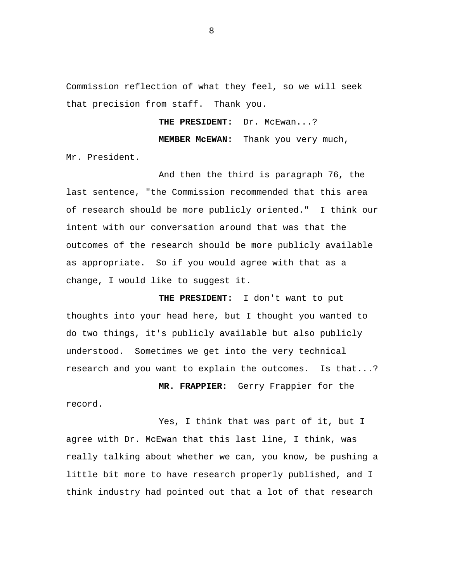Commission reflection of what they feel, so we will seek that precision from staff. Thank you.

THE PRESIDENT: Dr. McEwan...?

**MEMBER McEWAN:** Thank you very much,

Mr. President.

And then the third is paragraph 76, the last sentence, "the Commission recommended that this area of research should be more publicly oriented." I think our intent with our conversation around that was that the outcomes of the research should be more publicly available as appropriate. So if you would agree with that as a change, I would like to suggest it.

**THE PRESIDENT:** I don't want to put thoughts into your head here, but I thought you wanted to do two things, it's publicly available but also publicly understood. Sometimes we get into the very technical research and you want to explain the outcomes. Is that...?

**MR. FRAPPIER:** Gerry Frappier for the record.

Yes, I think that was part of it, but I agree with Dr. McEwan that this last line, I think, was really talking about whether we can, you know, be pushing a little bit more to have research properly published, and I think industry had pointed out that a lot of that research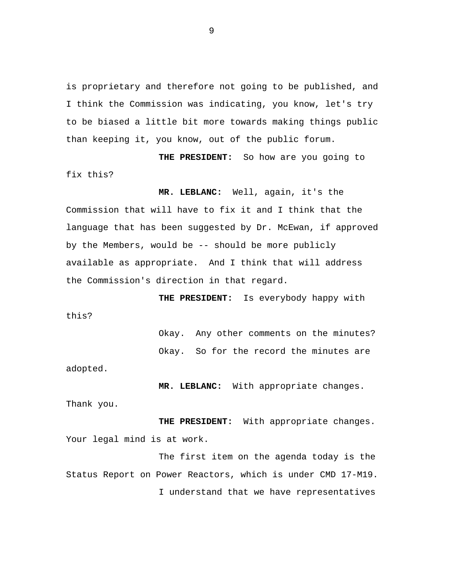is proprietary and therefore not going to be published, and I think the Commission was indicating, you know, let's try to be biased a little bit more towards making things public than keeping it, you know, out of the public forum.

**THE PRESIDENT:** So how are you going to fix this?

**MR. LEBLANC:** Well, again, it's the Commission that will have to fix it and I think that the language that has been suggested by Dr. McEwan, if approved by the Members, would be -- should be more publicly available as appropriate. And I think that will address the Commission's direction in that regard.

**THE PRESIDENT:** Is everybody happy with this?

> Okay. Any other comments on the minutes? Okay. So for the record the minutes are

adopted.

**MR. LEBLANC:** With appropriate changes. Thank you.

**THE PRESIDENT:** With appropriate changes. Your legal mind is at work.

The first item on the agenda today is the Status Report on Power Reactors, which is under CMD 17-M19. I understand that we have representatives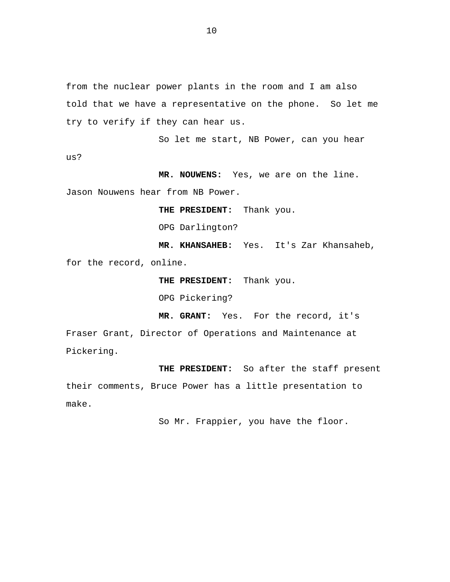from the nuclear power plants in the room and I am also told that we have a representative on the phone. So let me try to verify if they can hear us.

So let me start, NB Power, can you hear us?

**MR. NOUWENS:** Yes, we are on the line. Jason Nouwens hear from NB Power.

**THE PRESIDENT:** Thank you.

OPG Darlington?

**MR. KHANSAHEB:** Yes. It's Zar Khansaheb, for the record, online.

**THE PRESIDENT:** Thank you.

OPG Pickering?

**MR. GRANT:** Yes. For the record, it's

Fraser Grant, Director of Operations and Maintenance at Pickering.

**THE PRESIDENT:** So after the staff present their comments, Bruce Power has a little presentation to make.

So Mr. Frappier, you have the floor.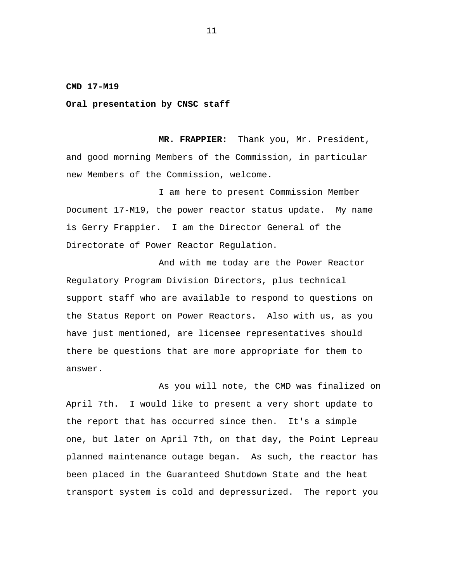#### <span id="page-12-0"></span>**CMD 17-M19**

### **Oral presentation by CNSC staff**

**MR. FRAPPIER:** Thank you, Mr. President, and good morning Members of the Commission, in particular new Members of the Commission, welcome.

I am here to present Commission Member Document 17-M19, the power reactor status update. My name is Gerry Frappier. I am the Director General of the Directorate of Power Reactor Regulation.

And with me today are the Power Reactor Regulatory Program Division Directors, plus technical support staff who are available to respond to questions on the Status Report on Power Reactors. Also with us, as you have just mentioned, are licensee representatives should there be questions that are more appropriate for them to answer.

As you will note, the CMD was finalized on April 7th. I would like to present a very short update to the report that has occurred since then. It's a simple one, but later on April 7th, on that day, the Point Lepreau planned maintenance outage began. As such, the reactor has been placed in the Guaranteed Shutdown State and the heat transport system is cold and depressurized. The report you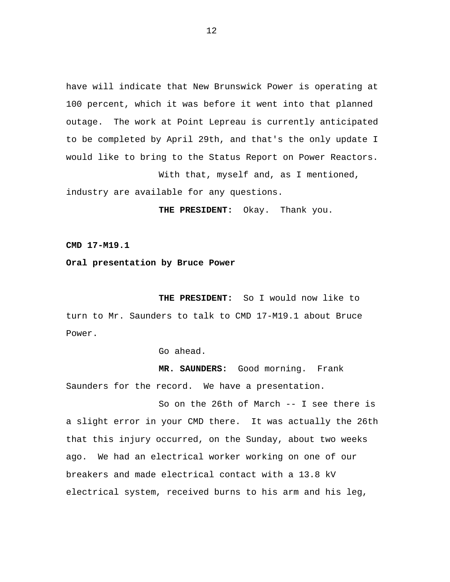<span id="page-13-0"></span>have will indicate that New Brunswick Power is operating at 100 percent, which it was before it went into that planned outage. The work at Point Lepreau is currently anticipated to be completed by April 29th, and that's the only update I would like to bring to the Status Report on Power Reactors. With that, myself and, as I mentioned,

industry are available for any questions.

**THE PRESIDENT:** Okay. Thank you.

**CMD 17-M19.1** 

**Oral presentation by Bruce Power** 

**THE PRESIDENT:** So I would now like to turn to Mr. Saunders to talk to CMD 17-M19.1 about Bruce Power.

Go ahead.

**MR. SAUNDERS:** Good morning. Frank Saunders for the record. We have a presentation.

So on the 26th of March -- I see there is a slight error in your CMD there. It was actually the 26th that this injury occurred, on the Sunday, about two weeks ago. We had an electrical worker working on one of our breakers and made electrical contact with a 13.8 kV electrical system, received burns to his arm and his leg,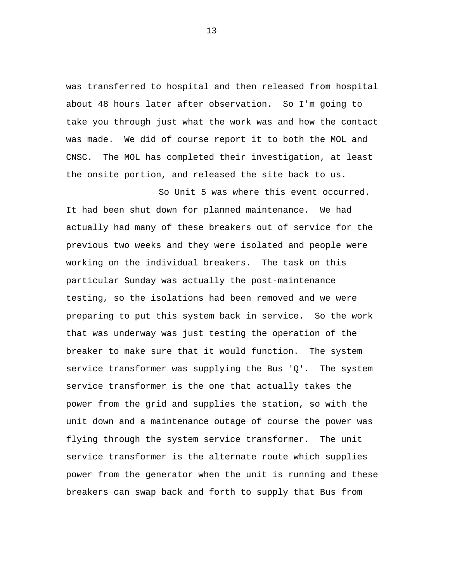was transferred to hospital and then released from hospital about 48 hours later after observation. So I'm going to take you through just what the work was and how the contact was made. We did of course report it to both the MOL and CNSC. The MOL has completed their investigation, at least the onsite portion, and released the site back to us.

So Unit 5 was where this event occurred. It had been shut down for planned maintenance. We had actually had many of these breakers out of service for the previous two weeks and they were isolated and people were working on the individual breakers. The task on this particular Sunday was actually the post-maintenance testing, so the isolations had been removed and we were preparing to put this system back in service. So the work that was underway was just testing the operation of the breaker to make sure that it would function. The system service transformer was supplying the Bus 'Q'. The system service transformer is the one that actually takes the power from the grid and supplies the station, so with the unit down and a maintenance outage of course the power was flying through the system service transformer. The unit service transformer is the alternate route which supplies power from the generator when the unit is running and these breakers can swap back and forth to supply that Bus from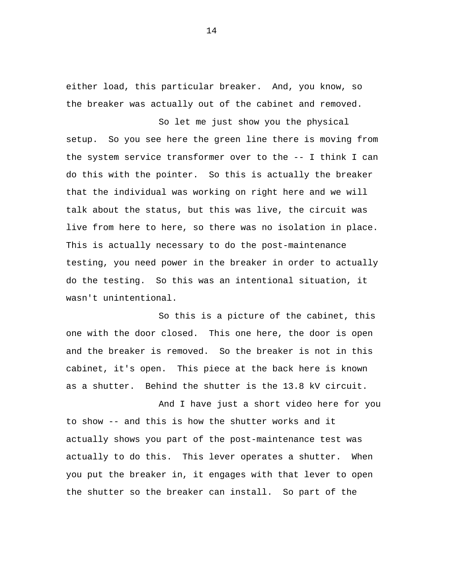either load, this particular breaker. And, you know, so the breaker was actually out of the cabinet and removed.

So let me just show you the physical setup. So you see here the green line there is moving from the system service transformer over to the -- I think I can do this with the pointer. So this is actually the breaker that the individual was working on right here and we will talk about the status, but this was live, the circuit was live from here to here, so there was no isolation in place. This is actually necessary to do the post-maintenance testing, you need power in the breaker in order to actually do the testing. So this was an intentional situation, it wasn't unintentional.

So this is a picture of the cabinet, this one with the door closed. This one here, the door is open and the breaker is removed. So the breaker is not in this cabinet, it's open. This piece at the back here is known as a shutter. Behind the shutter is the 13.8 kV circuit.

And I have just a short video here for you to show -- and this is how the shutter works and it actually shows you part of the post-maintenance test was actually to do this. This lever operates a shutter. When you put the breaker in, it engages with that lever to open the shutter so the breaker can install. So part of the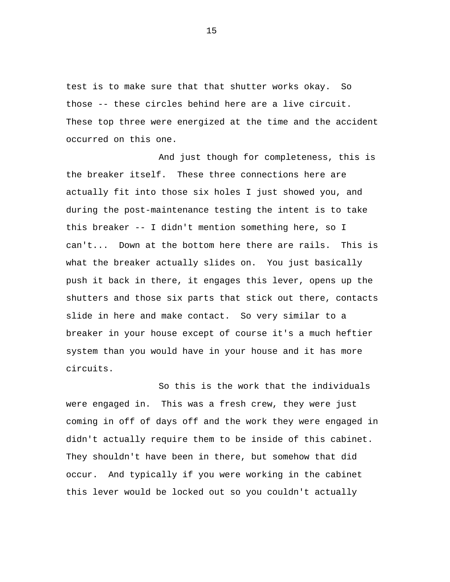test is to make sure that that shutter works okay. So those -- these circles behind here are a live circuit. These top three were energized at the time and the accident occurred on this one.

And just though for completeness, this is the breaker itself. These three connections here are actually fit into those six holes I just showed you, and during the post-maintenance testing the intent is to take this breaker -- I didn't mention something here, so I can't... Down at the bottom here there are rails. This is what the breaker actually slides on. You just basically push it back in there, it engages this lever, opens up the shutters and those six parts that stick out there, contacts slide in here and make contact. So very similar to a breaker in your house except of course it's a much heftier system than you would have in your house and it has more circuits.

So this is the work that the individuals were engaged in. This was a fresh crew, they were just coming in off of days off and the work they were engaged in didn't actually require them to be inside of this cabinet. They shouldn't have been in there, but somehow that did occur. And typically if you were working in the cabinet this lever would be locked out so you couldn't actually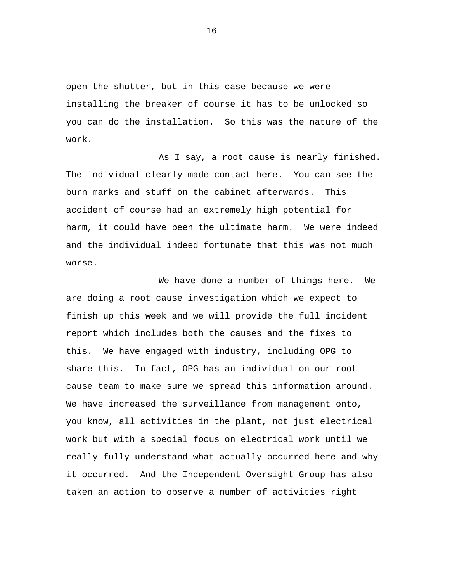open the shutter, but in this case because we were installing the breaker of course it has to be unlocked so you can do the installation. So this was the nature of the work.

As I say, a root cause is nearly finished. The individual clearly made contact here. You can see the burn marks and stuff on the cabinet afterwards. This accident of course had an extremely high potential for harm, it could have been the ultimate harm. We were indeed and the individual indeed fortunate that this was not much worse.

We have done a number of things here. We are doing a root cause investigation which we expect to finish up this week and we will provide the full incident report which includes both the causes and the fixes to this. We have engaged with industry, including OPG to share this. In fact, OPG has an individual on our root cause team to make sure we spread this information around. We have increased the surveillance from management onto, you know, all activities in the plant, not just electrical work but with a special focus on electrical work until we really fully understand what actually occurred here and why it occurred. And the Independent Oversight Group has also taken an action to observe a number of activities right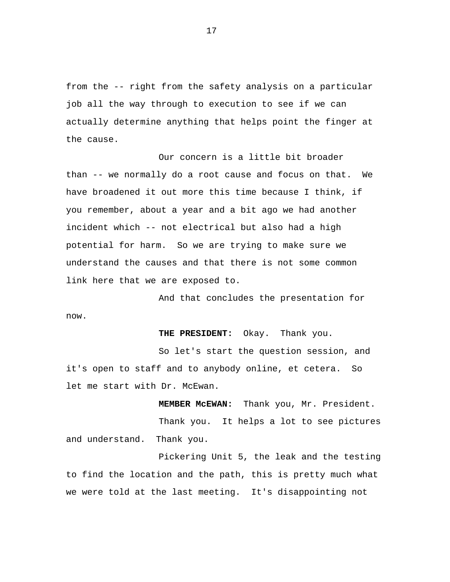from the -- right from the safety analysis on a particular job all the way through to execution to see if we can actually determine anything that helps point the finger at the cause.

Our concern is a little bit broader than -- we normally do a root cause and focus on that. We have broadened it out more this time because I think, if you remember, about a year and a bit ago we had another incident which -- not electrical but also had a high potential for harm. So we are trying to make sure we understand the causes and that there is not some common link here that we are exposed to.

And that concludes the presentation for now.

**THE PRESIDENT:** Okay. Thank you.

So let's start the question session, and it's open to staff and to anybody online, et cetera. So let me start with Dr. McEwan.

**MEMBER McEWAN:** Thank you, Mr. President. Thank you. It helps a lot to see pictures and understand. Thank you.

Pickering Unit 5, the leak and the testing to find the location and the path, this is pretty much what we were told at the last meeting. It's disappointing not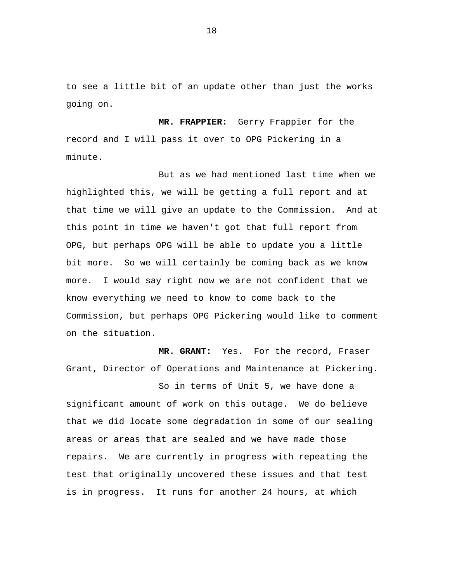to see a little bit of an update other than just the works going on.

**MR. FRAPPIER:** Gerry Frappier for the record and I will pass it over to OPG Pickering in a minute.

But as we had mentioned last time when we highlighted this, we will be getting a full report and at that time we will give an update to the Commission. And at this point in time we haven't got that full report from OPG, but perhaps OPG will be able to update you a little bit more. So we will certainly be coming back as we know more. I would say right now we are not confident that we know everything we need to know to come back to the Commission, but perhaps OPG Pickering would like to comment on the situation.

**MR. GRANT:** Yes. For the record, Fraser Grant, Director of Operations and Maintenance at Pickering.

So in terms of Unit 5, we have done a significant amount of work on this outage. We do believe that we did locate some degradation in some of our sealing areas or areas that are sealed and we have made those repairs. We are currently in progress with repeating the test that originally uncovered these issues and that test is in progress. It runs for another 24 hours, at which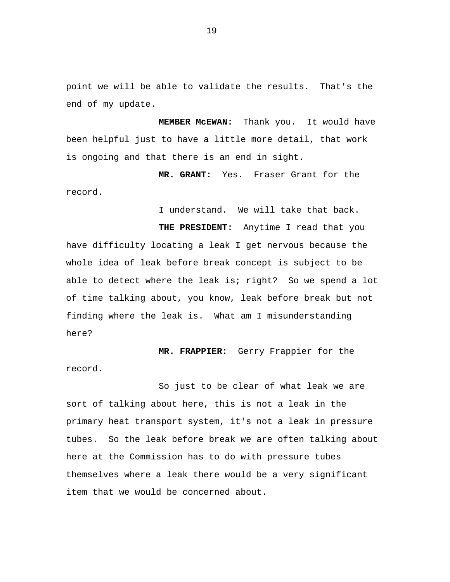point we will be able to validate the results. That's the end of my update.

**MEMBER McEWAN:** Thank you. It would have been helpful just to have a little more detail, that work is ongoing and that there is an end in sight.

**MR. GRANT:** Yes. Fraser Grant for the record.

I understand. We will take that back.

**THE PRESIDENT:** Anytime I read that you have difficulty locating a leak I get nervous because the whole idea of leak before break concept is subject to be able to detect where the leak is; right? So we spend a lot of time talking about, you know, leak before break but not finding where the leak is. What am I misunderstanding here?

**MR. FRAPPIER:** Gerry Frappier for the record.

So just to be clear of what leak we are sort of talking about here, this is not a leak in the primary heat transport system, it's not a leak in pressure tubes. So the leak before break we are often talking about here at the Commission has to do with pressure tubes themselves where a leak there would be a very significant item that we would be concerned about.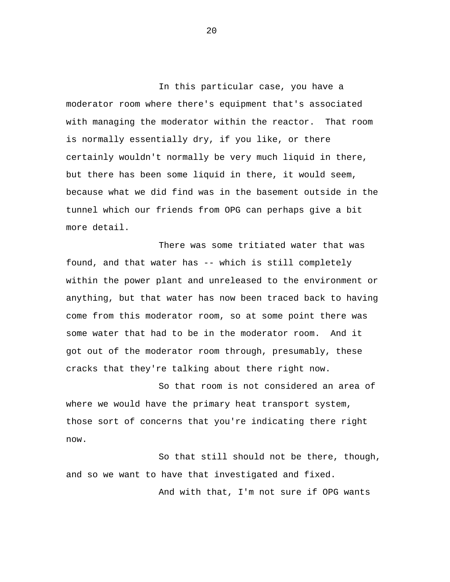In this particular case, you have a moderator room where there's equipment that's associated with managing the moderator within the reactor. That room is normally essentially dry, if you like, or there certainly wouldn't normally be very much liquid in there, but there has been some liquid in there, it would seem, because what we did find was in the basement outside in the tunnel which our friends from OPG can perhaps give a bit more detail.

There was some tritiated water that was found, and that water has -- which is still completely within the power plant and unreleased to the environment or anything, but that water has now been traced back to having come from this moderator room, so at some point there was some water that had to be in the moderator room. And it got out of the moderator room through, presumably, these cracks that they're talking about there right now.

So that room is not considered an area of where we would have the primary heat transport system, those sort of concerns that you're indicating there right now.

So that still should not be there, though, and so we want to have that investigated and fixed.

And with that, I'm not sure if OPG wants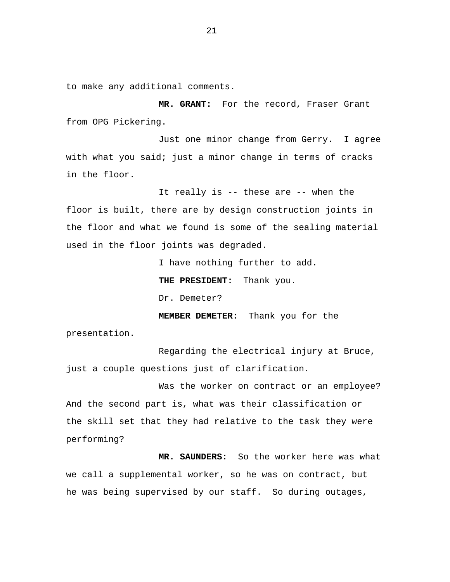to make any additional comments.

**MR. GRANT:** For the record, Fraser Grant from OPG Pickering.

Just one minor change from Gerry. I agree with what you said; just a minor change in terms of cracks in the floor.

It really is -- these are -- when the floor is built, there are by design construction joints in the floor and what we found is some of the sealing material used in the floor joints was degraded.

I have nothing further to add.

**THE PRESIDENT:** Thank you.

Dr. Demeter?

**MEMBER DEMETER:** Thank you for the

presentation.

Regarding the electrical injury at Bruce, just a couple questions just of clarification.

Was the worker on contract or an employee? And the second part is, what was their classification or the skill set that they had relative to the task they were performing?

**MR. SAUNDERS:** So the worker here was what we call a supplemental worker, so he was on contract, but he was being supervised by our staff. So during outages,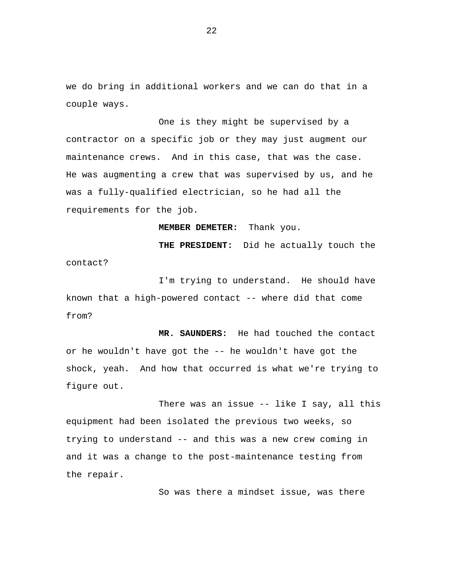we do bring in additional workers and we can do that in a couple ways.

One is they might be supervised by a contractor on a specific job or they may just augment our maintenance crews. And in this case, that was the case. He was augmenting a crew that was supervised by us, and he was a fully-qualified electrician, so he had all the requirements for the job.

**MEMBER DEMETER:** Thank you.

**THE PRESIDENT:** Did he actually touch the contact?

I'm trying to understand. He should have known that a high-powered contact -- where did that come from?

**MR. SAUNDERS:** He had touched the contact or he wouldn't have got the -- he wouldn't have got the shock, yeah. And how that occurred is what we're trying to figure out.

There was an issue -- like I say, all this equipment had been isolated the previous two weeks, so trying to understand -- and this was a new crew coming in and it was a change to the post-maintenance testing from the repair.

So was there a mindset issue, was there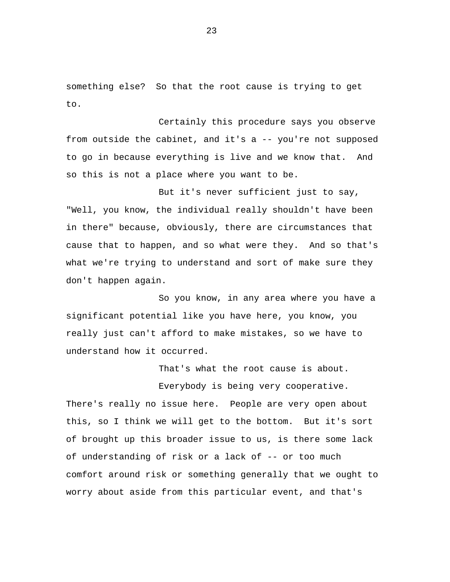something else? So that the root cause is trying to get to.

Certainly this procedure says you observe from outside the cabinet, and it's a -- you're not supposed to go in because everything is live and we know that. And so this is not a place where you want to be.

But it's never sufficient just to say, "Well, you know, the individual really shouldn't have been in there" because, obviously, there are circumstances that cause that to happen, and so what were they. And so that's what we're trying to understand and sort of make sure they don't happen again.

So you know, in any area where you have a significant potential like you have here, you know, you really just can't afford to make mistakes, so we have to understand how it occurred.

That's what the root cause is about.

Everybody is being very cooperative. There's really no issue here. People are very open about this, so I think we will get to the bottom. But it's sort of brought up this broader issue to us, is there some lack of understanding of risk or a lack of -- or too much comfort around risk or something generally that we ought to worry about aside from this particular event, and that's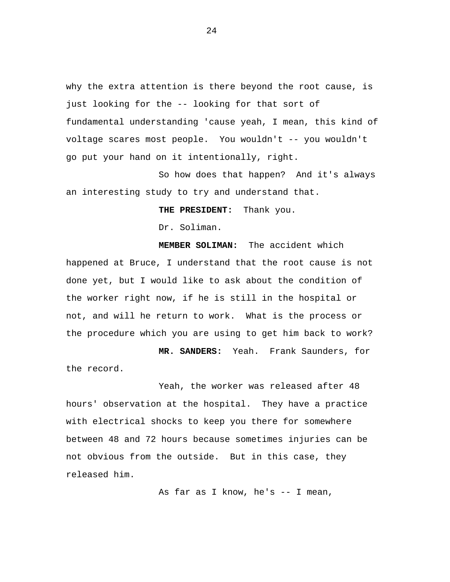why the extra attention is there beyond the root cause, is just looking for the -- looking for that sort of fundamental understanding 'cause yeah, I mean, this kind of voltage scares most people. You wouldn't -- you wouldn't go put your hand on it intentionally, right.

So how does that happen? And it's always an interesting study to try and understand that.

**THE PRESIDENT:** Thank you.

Dr. Soliman.

**MEMBER SOLIMAN:** The accident which happened at Bruce, I understand that the root cause is not done yet, but I would like to ask about the condition of the worker right now, if he is still in the hospital or not, and will he return to work. What is the process or the procedure which you are using to get him back to work?

**MR. SANDERS:** Yeah. Frank Saunders, for the record.

Yeah, the worker was released after 48 hours' observation at the hospital. They have a practice with electrical shocks to keep you there for somewhere between 48 and 72 hours because sometimes injuries can be not obvious from the outside. But in this case, they released him.

As far as I know, he's -- I mean,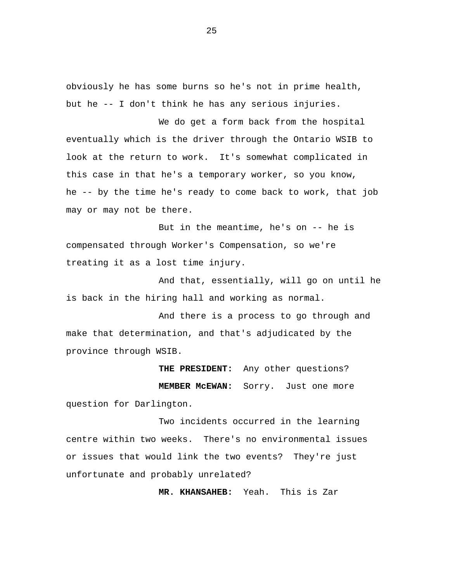obviously he has some burns so he's not in prime health, but he -- I don't think he has any serious injuries.

We do get a form back from the hospital eventually which is the driver through the Ontario WSIB to look at the return to work. It's somewhat complicated in this case in that he's a temporary worker, so you know, he -- by the time he's ready to come back to work, that job may or may not be there.

But in the meantime, he's on -- he is compensated through Worker's Compensation, so we're treating it as a lost time injury.

And that, essentially, will go on until he is back in the hiring hall and working as normal.

And there is a process to go through and make that determination, and that's adjudicated by the province through WSIB.

**THE PRESIDENT:** Any other questions? **MEMBER McEWAN:** Sorry. Just one more question for Darlington.

Two incidents occurred in the learning centre within two weeks. There's no environmental issues or issues that would link the two events? They're just unfortunate and probably unrelated?

**MR. KHANSAHEB:** Yeah. This is Zar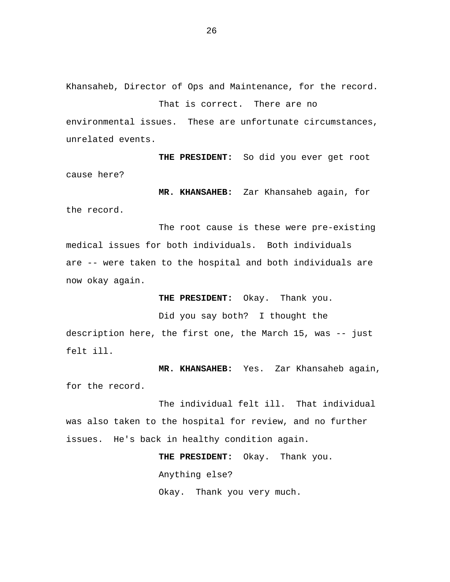Khansaheb, Director of Ops and Maintenance, for the record.

That is correct. There are no environmental issues. These are unfortunate circumstances, unrelated events.

**THE PRESIDENT:** So did you ever get root cause here?

**MR. KHANSAHEB:** Zar Khansaheb again, for the record.

The root cause is these were pre-existing medical issues for both individuals. Both individuals are -- were taken to the hospital and both individuals are now okay again.

**THE PRESIDENT:** Okay. Thank you.

Did you say both? I thought the description here, the first one, the March 15, was -- just felt ill.

**MR. KHANSAHEB:** Yes. Zar Khansaheb again, for the record.

The individual felt ill. That individual was also taken to the hospital for review, and no further issues. He's back in healthy condition again.

> **THE PRESIDENT:** Okay. Thank you. Anything else? Okay. Thank you very much.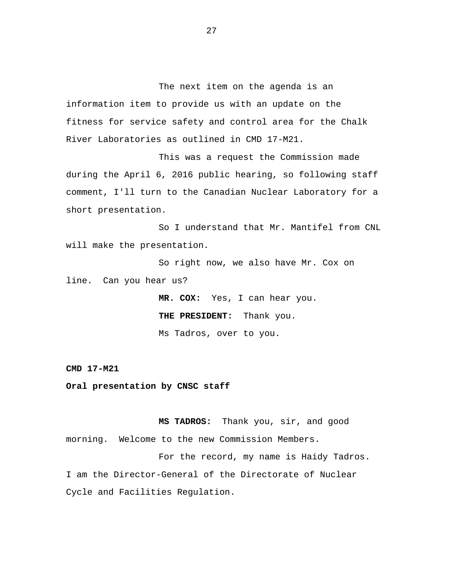<span id="page-28-0"></span>The next item on the agenda is an information item to provide us with an update on the fitness for service safety and control area for the Chalk River Laboratories as outlined in CMD 17-M21.

This was a request the Commission made during the April 6, 2016 public hearing, so following staff comment, I'll turn to the Canadian Nuclear Laboratory for a short presentation.

So I understand that Mr. Mantifel from CNL will make the presentation.

So right now, we also have Mr. Cox on line. Can you hear us?

> **MR. COX:** Yes, I can hear you. **THE PRESIDENT:** Thank you. Ms Tadros, over to you.

**CMD 17-M21** 

**Oral presentation by CNSC staff** 

**MS TADROS:** Thank you, sir, and good morning. Welcome to the new Commission Members.

For the record, my name is Haidy Tadros. I am the Director-General of the Directorate of Nuclear Cycle and Facilities Regulation.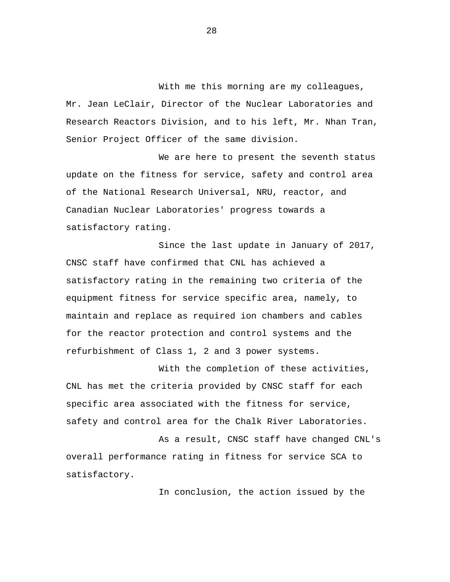With me this morning are my colleagues, Mr. Jean LeClair, Director of the Nuclear Laboratories and Research Reactors Division, and to his left, Mr. Nhan Tran, Senior Project Officer of the same division.

We are here to present the seventh status update on the fitness for service, safety and control area of the National Research Universal, NRU, reactor, and Canadian Nuclear Laboratories' progress towards a satisfactory rating.

Since the last update in January of 2017, CNSC staff have confirmed that CNL has achieved a satisfactory rating in the remaining two criteria of the equipment fitness for service specific area, namely, to maintain and replace as required ion chambers and cables for the reactor protection and control systems and the refurbishment of Class 1, 2 and 3 power systems.

With the completion of these activities, CNL has met the criteria provided by CNSC staff for each specific area associated with the fitness for service, safety and control area for the Chalk River Laboratories.

As a result, CNSC staff have changed CNL's overall performance rating in fitness for service SCA to satisfactory.

In conclusion, the action issued by the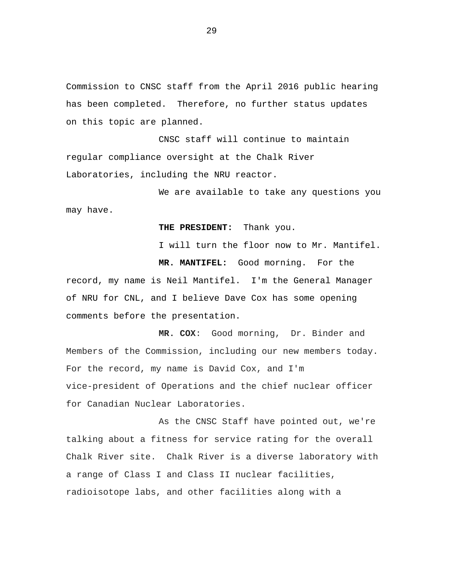Commission to CNSC staff from the April 2016 public hearing has been completed. Therefore, no further status updates on this topic are planned.

CNSC staff will continue to maintain regular compliance oversight at the Chalk River Laboratories, including the NRU reactor.

We are available to take any questions you may have.

### **THE PRESIDENT:** Thank you.

I will turn the floor now to Mr. Mantifel.

**MR. MANTIFEL:** Good morning. For the

record, my name is Neil Mantifel. I'm the General Manager of NRU for CNL, and I believe Dave Cox has some opening comments before the presentation.

**MR. COX**: Good morning, Dr. Binder and Members of the Commission, including our new members today. For the record, my name is David Cox, and I'm vice-president of Operations and the chief nuclear officer for Canadian Nuclear Laboratories.

As the CNSC Staff have pointed out, we're talking about a fitness for service rating for the overall Chalk River site. Chalk River is a diverse laboratory with a range of Class I and Class II nuclear facilities, radioisotope labs, and other facilities along with a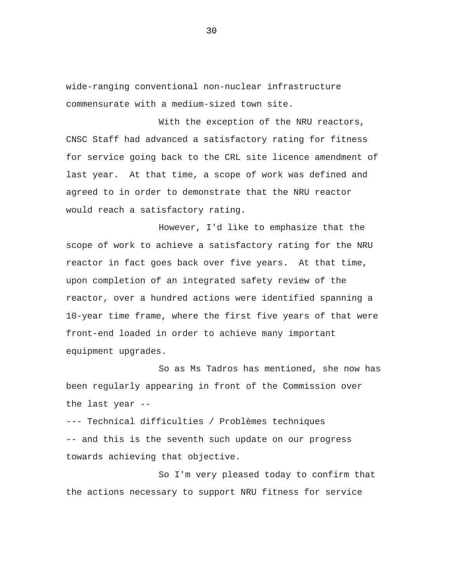wide-ranging conventional non-nuclear infrastructure commensurate with a medium-sized town site.

With the exception of the NRU reactors, CNSC Staff had advanced a satisfactory rating for fitness for service going back to the CRL site licence amendment of last year. At that time, a scope of work was defined and agreed to in order to demonstrate that the NRU reactor would reach a satisfactory rating.

However, I'd like to emphasize that the scope of work to achieve a satisfactory rating for the NRU reactor in fact goes back over five years. At that time, upon completion of an integrated safety review of the reactor, over a hundred actions were identified spanning a 10-year time frame, where the first five years of that were front-end loaded in order to achieve many important equipment upgrades.

So as Ms Tadros has mentioned, she now has been regularly appearing in front of the Commission over the last year --

--- Technical difficulties / Problèmes techniques -- and this is the seventh such update on our progress towards achieving that objective.

So I'm very pleased today to confirm that the actions necessary to support NRU fitness for service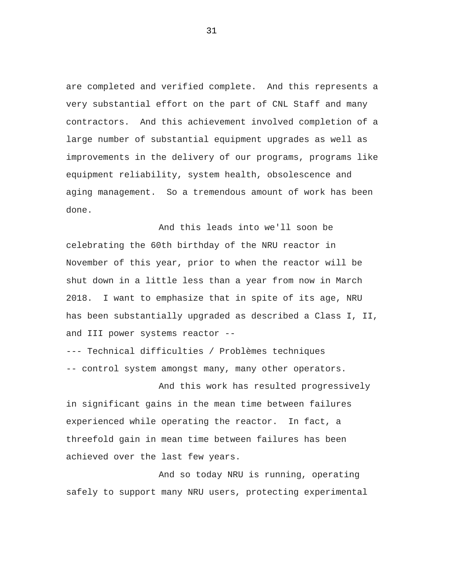are completed and verified complete. And this represents a very substantial effort on the part of CNL Staff and many contractors. And this achievement involved completion of a large number of substantial equipment upgrades as well as improvements in the delivery of our programs, programs like equipment reliability, system health, obsolescence and aging management. So a tremendous amount of work has been done.

And this leads into we'll soon be celebrating the 60th birthday of the NRU reactor in November of this year, prior to when the reactor will be shut down in a little less than a year from now in March 2018. I want to emphasize that in spite of its age, NRU has been substantially upgraded as described a Class I, II, and III power systems reactor --

--- Technical difficulties / Problèmes techniques -- control system amongst many, many other operators.

And this work has resulted progressively in significant gains in the mean time between failures experienced while operating the reactor. In fact, a threefold gain in mean time between failures has been achieved over the last few years.

And so today NRU is running, operating safely to support many NRU users, protecting experimental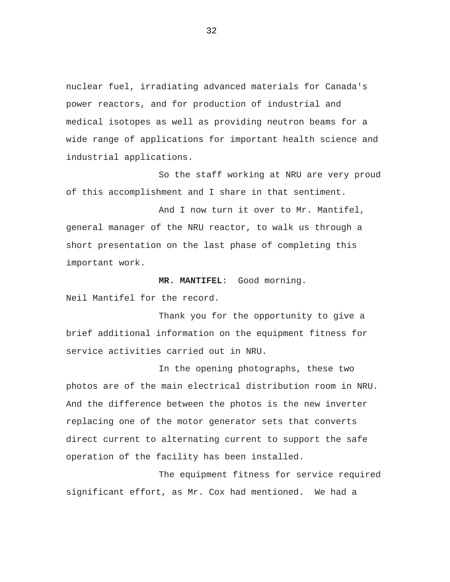nuclear fuel, irradiating advanced materials for Canada's power reactors, and for production of industrial and medical isotopes as well as providing neutron beams for a wide range of applications for important health science and industrial applications.

So the staff working at NRU are very proud of this accomplishment and I share in that sentiment.

And I now turn it over to Mr. Mantifel, general manager of the NRU reactor, to walk us through a short presentation on the last phase of completing this important work.

**MR. MANTIFEL**: Good morning.

Neil Mantifel for the record.

Thank you for the opportunity to give a brief additional information on the equipment fitness for service activities carried out in NRU.

In the opening photographs, these two photos are of the main electrical distribution room in NRU. And the difference between the photos is the new inverter replacing one of the motor generator sets that converts direct current to alternating current to support the safe operation of the facility has been installed.

The equipment fitness for service required significant effort, as Mr. Cox had mentioned. We had a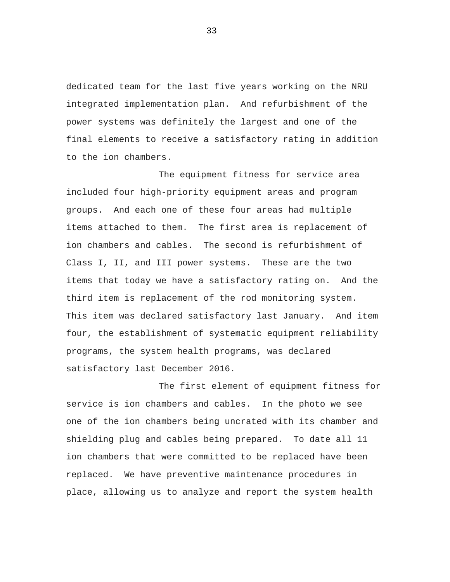dedicated team for the last five years working on the NRU integrated implementation plan. And refurbishment of the power systems was definitely the largest and one of the final elements to receive a satisfactory rating in addition to the ion chambers.

The equipment fitness for service area included four high-priority equipment areas and program groups. And each one of these four areas had multiple items attached to them. The first area is replacement of ion chambers and cables. The second is refurbishment of Class I, II, and III power systems. These are the two items that today we have a satisfactory rating on. And the third item is replacement of the rod monitoring system. This item was declared satisfactory last January. And item four, the establishment of systematic equipment reliability programs, the system health programs, was declared satisfactory last December 2016.

The first element of equipment fitness for service is ion chambers and cables. In the photo we see one of the ion chambers being uncrated with its chamber and shielding plug and cables being prepared. To date all 11 ion chambers that were committed to be replaced have been replaced. We have preventive maintenance procedures in place, allowing us to analyze and report the system health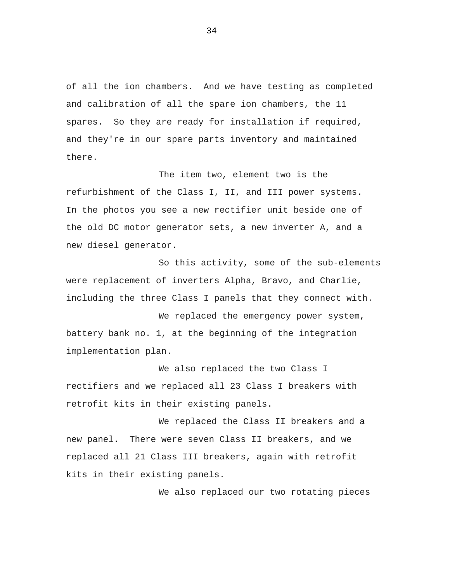of all the ion chambers. And we have testing as completed and calibration of all the spare ion chambers, the 11 spares. So they are ready for installation if required, and they're in our spare parts inventory and maintained there.

The item two, element two is the refurbishment of the Class I, II, and III power systems. In the photos you see a new rectifier unit beside one of the old DC motor generator sets, a new inverter A, and a new diesel generator.

So this activity, some of the sub-elements were replacement of inverters Alpha, Bravo, and Charlie, including the three Class I panels that they connect with.

We replaced the emergency power system, battery bank no. 1, at the beginning of the integration implementation plan.

We also replaced the two Class I rectifiers and we replaced all 23 Class I breakers with retrofit kits in their existing panels.

We replaced the Class II breakers and a new panel. There were seven Class II breakers, and we replaced all 21 Class III breakers, again with retrofit kits in their existing panels.

We also replaced our two rotating pieces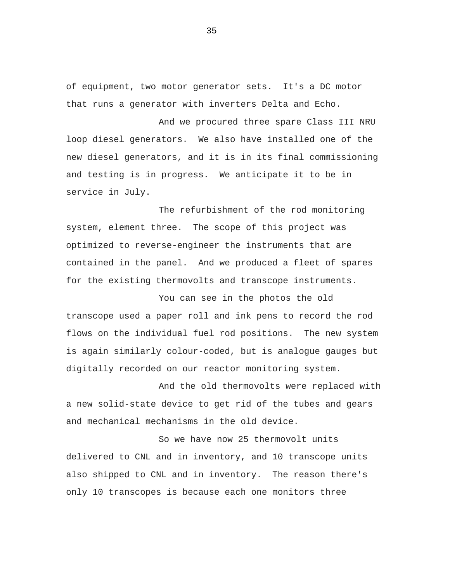of equipment, two motor generator sets. It's a DC motor that runs a generator with inverters Delta and Echo.

And we procured three spare Class III NRU loop diesel generators. We also have installed one of the new diesel generators, and it is in its final commissioning and testing is in progress. We anticipate it to be in service in July.

The refurbishment of the rod monitoring system, element three. The scope of this project was optimized to reverse-engineer the instruments that are contained in the panel. And we produced a fleet of spares for the existing thermovolts and transcope instruments.

You can see in the photos the old transcope used a paper roll and ink pens to record the rod flows on the individual fuel rod positions. The new system is again similarly colour-coded, but is analogue gauges but digitally recorded on our reactor monitoring system.

And the old thermovolts were replaced with a new solid-state device to get rid of the tubes and gears and mechanical mechanisms in the old device.

So we have now 25 thermovolt units delivered to CNL and in inventory, and 10 transcope units also shipped to CNL and in inventory. The reason there's only 10 transcopes is because each one monitors three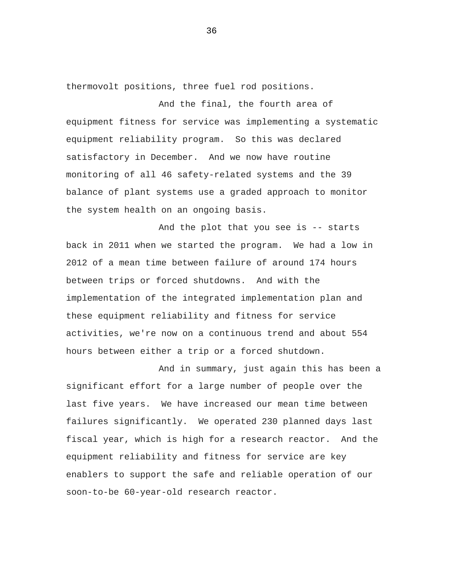thermovolt positions, three fuel rod positions.

And the final, the fourth area of equipment fitness for service was implementing a systematic equipment reliability program. So this was declared satisfactory in December. And we now have routine monitoring of all 46 safety-related systems and the 39 balance of plant systems use a graded approach to monitor the system health on an ongoing basis.

And the plot that you see is -- starts back in 2011 when we started the program. We had a low in 2012 of a mean time between failure of around 174 hours between trips or forced shutdowns. And with the implementation of the integrated implementation plan and these equipment reliability and fitness for service activities, we're now on a continuous trend and about 554 hours between either a trip or a forced shutdown.

And in summary, just again this has been a significant effort for a large number of people over the last five years. We have increased our mean time between failures significantly. We operated 230 planned days last fiscal year, which is high for a research reactor. And the equipment reliability and fitness for service are key enablers to support the safe and reliable operation of our soon-to-be 60-year-old research reactor.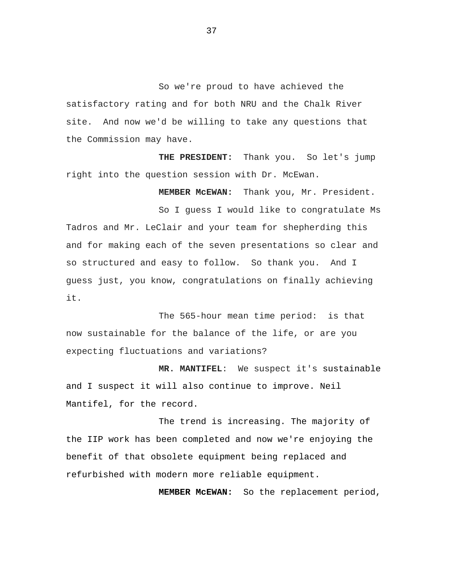So we're proud to have achieved the satisfactory rating and for both NRU and the Chalk River site. And now we'd be willing to take any questions that the Commission may have.

**THE PRESIDENT:** Thank you. So let's jump right into the question session with Dr. McEwan.

**MEMBER McEWAN:** Thank you, Mr. President.

So I guess I would like to congratulate Ms Tadros and Mr. LeClair and your team for shepherding this and for making each of the seven presentations so clear and so structured and easy to follow. So thank you. And I guess just, you know, congratulations on finally achieving it.

The 565-hour mean time period: is that now sustainable for the balance of the life, or are you expecting fluctuations and variations?

**MR. MANTIFEL**: We suspect it's sustainable and I suspect it will also continue to improve. Neil Mantifel, for the record.

The trend is increasing. The majority of the IIP work has been completed and now we're enjoying the benefit of that obsolete equipment being replaced and refurbished with modern more reliable equipment.

 **MEMBER McEWAN:** So the replacement period,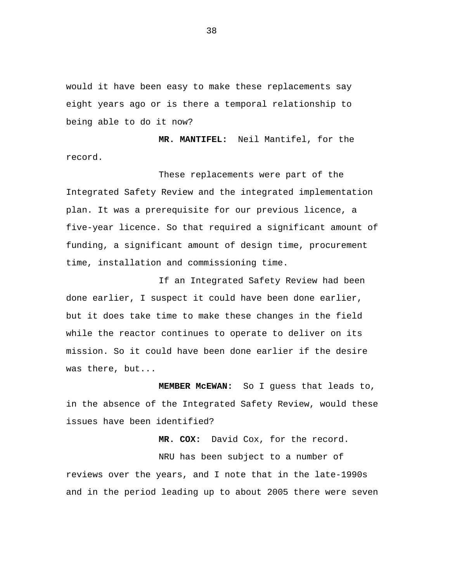would it have been easy to make these replacements say eight years ago or is there a temporal relationship to being able to do it now?

 **MR. MANTIFEL:** Neil Mantifel, for the record.

These replacements were part of the Integrated Safety Review and the integrated implementation plan. It was a prerequisite for our previous licence, a five-year licence. So that required a significant amount of funding, a significant amount of design time, procurement time, installation and commissioning time.

If an Integrated Safety Review had been done earlier, I suspect it could have been done earlier, but it does take time to make these changes in the field while the reactor continues to operate to deliver on its mission. So it could have been done earlier if the desire was there, but...

 **MEMBER McEWAN:** So I guess that leads to, in the absence of the Integrated Safety Review, would these issues have been identified?

 **MR. COX:** David Cox, for the record. NRU has been subject to a number of reviews over the years, and I note that in the late-1990s and in the period leading up to about 2005 there were seven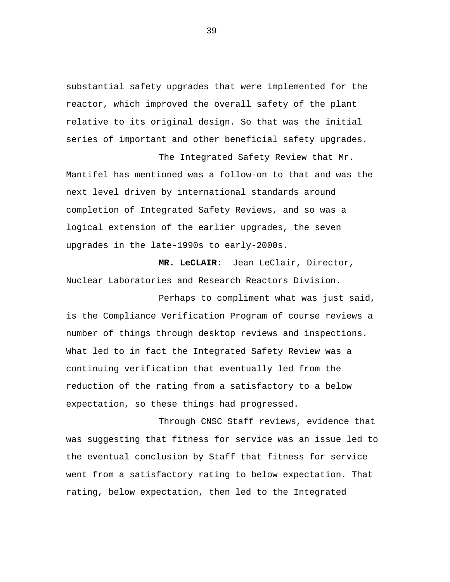substantial safety upgrades that were implemented for the reactor, which improved the overall safety of the plant relative to its original design. So that was the initial series of important and other beneficial safety upgrades.

The Integrated Safety Review that Mr. Mantifel has mentioned was a follow-on to that and was the next level driven by international standards around completion of Integrated Safety Reviews, and so was a logical extension of the earlier upgrades, the seven upgrades in the late-1990s to early-2000s.

 **MR. LeCLAIR:** Jean LeClair, Director, Nuclear Laboratories and Research Reactors Division.

Perhaps to compliment what was just said, is the Compliance Verification Program of course reviews a number of things through desktop reviews and inspections. What led to in fact the Integrated Safety Review was a continuing verification that eventually led from the reduction of the rating from a satisfactory to a below expectation, so these things had progressed.

Through CNSC Staff reviews, evidence that was suggesting that fitness for service was an issue led to the eventual conclusion by Staff that fitness for service went from a satisfactory rating to below expectation. That rating, below expectation, then led to the Integrated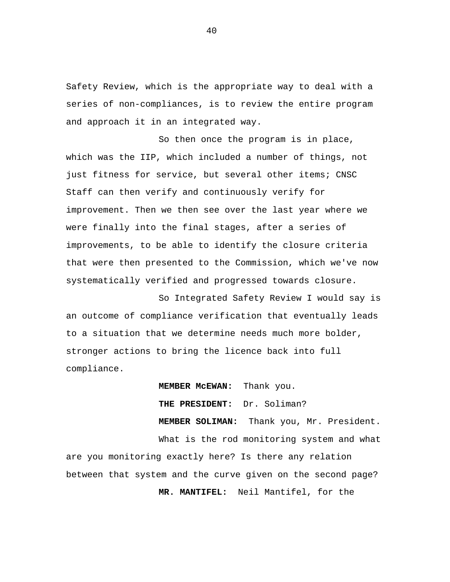Safety Review, which is the appropriate way to deal with a series of non-compliances, is to review the entire program and approach it in an integrated way.

So then once the program is in place, which was the IIP, which included a number of things, not just fitness for service, but several other items; CNSC Staff can then verify and continuously verify for improvement. Then we then see over the last year where we were finally into the final stages, after a series of improvements, to be able to identify the closure criteria that were then presented to the Commission, which we've now systematically verified and progressed towards closure.

So Integrated Safety Review I would say is an outcome of compliance verification that eventually leads to a situation that we determine needs much more bolder, stronger actions to bring the licence back into full compliance.

 **MEMBER McEWAN:** Thank you.  **THE PRESIDENT:** Dr. Soliman?  **MEMBER SOLIMAN:** Thank you, Mr. President. What is the rod monitoring system and what are you monitoring exactly here? Is there any relation between that system and the curve given on the second page?  **MR. MANTIFEL:** Neil Mantifel, for the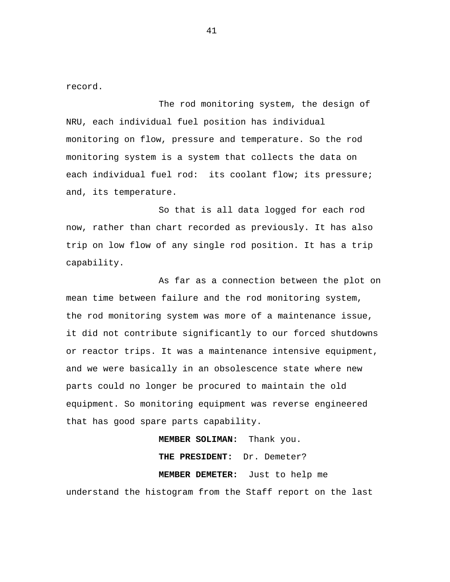record.

The rod monitoring system, the design of NRU, each individual fuel position has individual monitoring on flow, pressure and temperature. So the rod monitoring system is a system that collects the data on each individual fuel rod: its coolant flow; its pressure; and, its temperature.

So that is all data logged for each rod now, rather than chart recorded as previously. It has also trip on low flow of any single rod position. It has a trip capability.

As far as a connection between the plot on mean time between failure and the rod monitoring system, the rod monitoring system was more of a maintenance issue, it did not contribute significantly to our forced shutdowns or reactor trips. It was a maintenance intensive equipment, and we were basically in an obsolescence state where new parts could no longer be procured to maintain the old equipment. So monitoring equipment was reverse engineered that has good spare parts capability.

 **MEMBER SOLIMAN:** Thank you.  **THE PRESIDENT:** Dr. Demeter?  **MEMBER DEMETER:** Just to help me understand the histogram from the Staff report on the last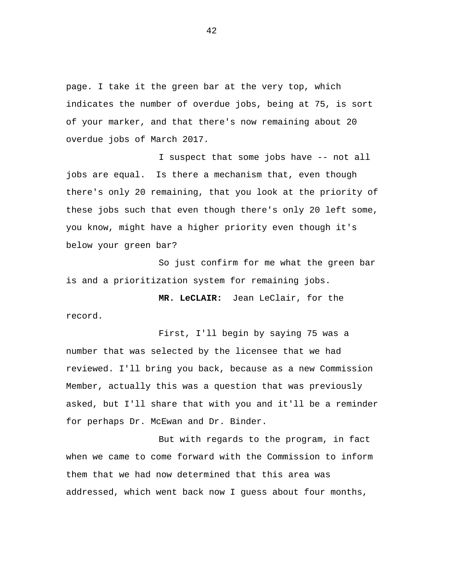page. I take it the green bar at the very top, which indicates the number of overdue jobs, being at 75, is sort of your marker, and that there's now remaining about 20 overdue jobs of March 2017.

I suspect that some jobs have -- not all jobs are equal. Is there a mechanism that, even though there's only 20 remaining, that you look at the priority of these jobs such that even though there's only 20 left some, you know, might have a higher priority even though it's below your green bar?

So just confirm for me what the green bar is and a prioritization system for remaining jobs.

 **MR. LeCLAIR:** Jean LeClair, for the record.

First, I'll begin by saying 75 was a number that was selected by the licensee that we had reviewed. I'll bring you back, because as a new Commission Member, actually this was a question that was previously asked, but I'll share that with you and it'll be a reminder for perhaps Dr. McEwan and Dr. Binder.

But with regards to the program, in fact when we came to come forward with the Commission to inform them that we had now determined that this area was addressed, which went back now I guess about four months,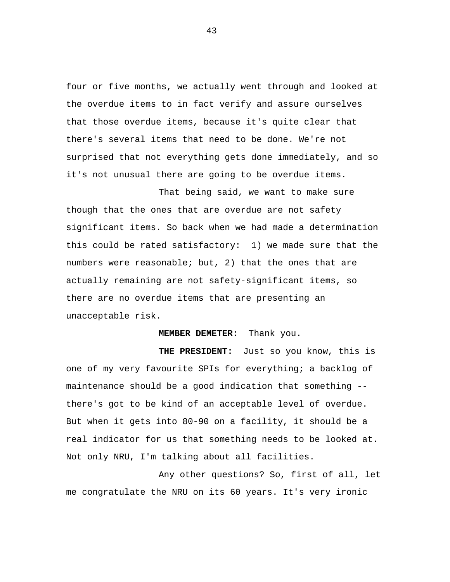four or five months, we actually went through and looked at the overdue items to in fact verify and assure ourselves that those overdue items, because it's quite clear that there's several items that need to be done. We're not surprised that not everything gets done immediately, and so it's not unusual there are going to be overdue items.

That being said, we want to make sure though that the ones that are overdue are not safety significant items. So back when we had made a determination this could be rated satisfactory: 1) we made sure that the numbers were reasonable; but, 2) that the ones that are actually remaining are not safety-significant items, so there are no overdue items that are presenting an unacceptable risk.

## **MEMBER DEMETER:** Thank you.

 **THE PRESIDENT:** Just so you know, this is one of my very favourite SPIs for everything; a backlog of maintenance should be a good indication that something - there's got to be kind of an acceptable level of overdue. But when it gets into 80-90 on a facility, it should be a real indicator for us that something needs to be looked at. Not only NRU, I'm talking about all facilities.

Any other questions? So, first of all, let me congratulate the NRU on its 60 years. It's very ironic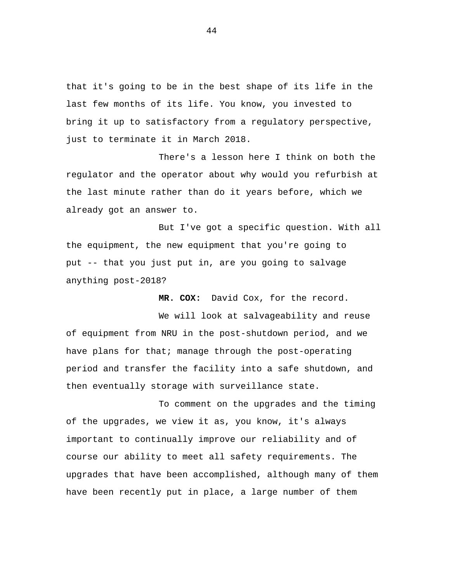that it's going to be in the best shape of its life in the last few months of its life. You know, you invested to bring it up to satisfactory from a regulatory perspective, just to terminate it in March 2018.

There's a lesson here I think on both the regulator and the operator about why would you refurbish at the last minute rather than do it years before, which we already got an answer to.

But I've got a specific question. With all the equipment, the new equipment that you're going to put -- that you just put in, are you going to salvage anything post-2018?

 **MR. COX:** David Cox, for the record.

We will look at salvageability and reuse of equipment from NRU in the post-shutdown period, and we have plans for that; manage through the post-operating period and transfer the facility into a safe shutdown, and then eventually storage with surveillance state.

To comment on the upgrades and the timing of the upgrades, we view it as, you know, it's always important to continually improve our reliability and of course our ability to meet all safety requirements. The upgrades that have been accomplished, although many of them have been recently put in place, a large number of them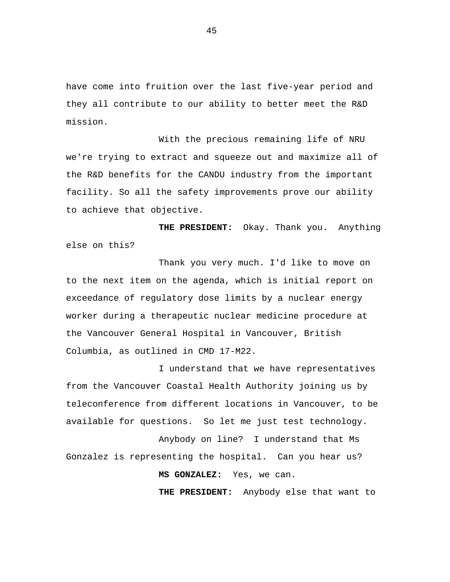have come into fruition over the last five-year period and they all contribute to our ability to better meet the R&D mission.

With the precious remaining life of NRU we're trying to extract and squeeze out and maximize all of the R&D benefits for the CANDU industry from the important facility. So all the safety improvements prove our ability to achieve that objective.

 **THE PRESIDENT:** Okay. Thank you. Anything else on this?

Thank you very much. I'd like to move on to the next item on the agenda, which is initial report on exceedance of regulatory dose limits by a nuclear energy worker during a therapeutic nuclear medicine procedure at the Vancouver General Hospital in Vancouver, British Columbia, as outlined in CMD 17-M22.

I understand that we have representatives from the Vancouver Coastal Health Authority joining us by teleconference from different locations in Vancouver, to be available for questions. So let me just test technology.

Anybody on line? I understand that Ms Gonzalez is representing the hospital. Can you hear us?

**MS GONZALEZ:** Yes, we can.

**THE PRESIDENT:** Anybody else that want to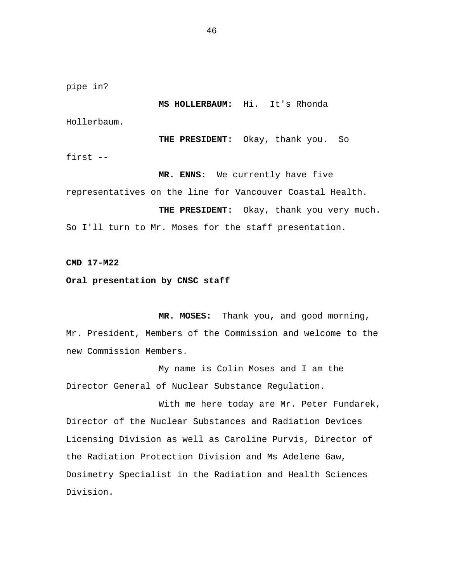pipe in?

**MS HOLLERBAUM:** Hi. It's Rhonda

Hollerbaum.

**THE PRESIDENT:** Okay, thank you. So first --

**MR. ENNS:** We currently have five representatives on the line for Vancouver Coastal Health. **THE PRESIDENT:** Okay, thank you very much. So I'll turn to Mr. Moses for the staff presentation.

**CMD 17-M22** 

**Oral presentation by CNSC staff** 

**MR. MOSES:** Thank you**,** and good morning, Mr. President, Members of the Commission and welcome to the new Commission Members.

My name is Colin Moses and I am the Director General of Nuclear Substance Regulation.

With me here today are Mr. Peter Fundarek, Director of the Nuclear Substances and Radiation Devices Licensing Division as well as Caroline Purvis, Director of the Radiation Protection Division and Ms Adelene Gaw, Dosimetry Specialist in the Radiation and Health Sciences Division.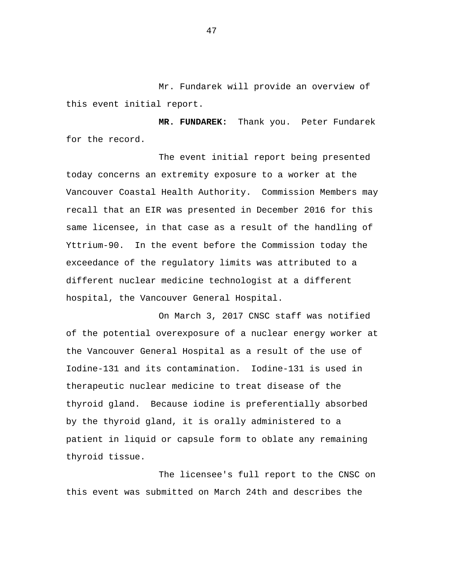Mr. Fundarek will provide an overview of this event initial report.

**MR. FUNDAREK:** Thank you. Peter Fundarek for the record.

The event initial report being presented today concerns an extremity exposure to a worker at the Vancouver Coastal Health Authority. Commission Members may recall that an EIR was presented in December 2016 for this same licensee, in that case as a result of the handling of Yttrium-90. In the event before the Commission today the exceedance of the regulatory limits was attributed to a different nuclear medicine technologist at a different hospital, the Vancouver General Hospital.

On March 3, 2017 CNSC staff was notified of the potential overexposure of a nuclear energy worker at the Vancouver General Hospital as a result of the use of Iodine-131 and its contamination. Iodine-131 is used in therapeutic nuclear medicine to treat disease of the thyroid gland. Because iodine is preferentially absorbed by the thyroid gland, it is orally administered to a patient in liquid or capsule form to oblate any remaining thyroid tissue.

The licensee's full report to the CNSC on this event was submitted on March 24th and describes the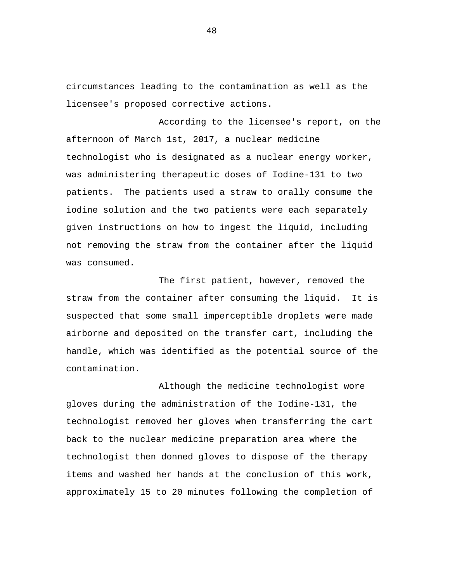circumstances leading to the contamination as well as the licensee's proposed corrective actions.

According to the licensee's report, on the afternoon of March 1st, 2017, a nuclear medicine technologist who is designated as a nuclear energy worker, was administering therapeutic doses of Iodine-131 to two patients. The patients used a straw to orally consume the iodine solution and the two patients were each separately given instructions on how to ingest the liquid, including not removing the straw from the container after the liquid was consumed.

The first patient, however, removed the straw from the container after consuming the liquid. It is suspected that some small imperceptible droplets were made airborne and deposited on the transfer cart, including the handle, which was identified as the potential source of the contamination.

Although the medicine technologist wore gloves during the administration of the Iodine-131, the technologist removed her gloves when transferring the cart back to the nuclear medicine preparation area where the technologist then donned gloves to dispose of the therapy items and washed her hands at the conclusion of this work, approximately 15 to 20 minutes following the completion of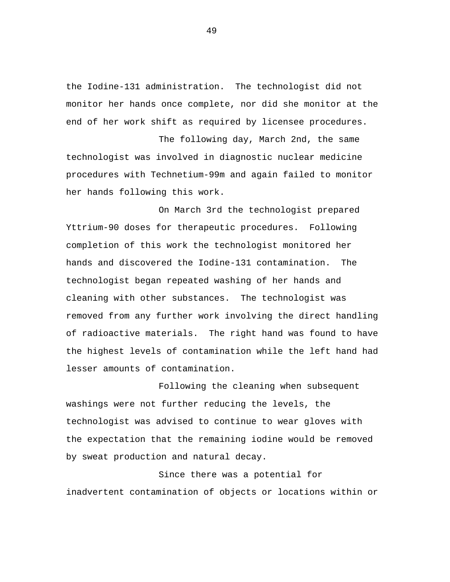the Iodine-131 administration. The technologist did not monitor her hands once complete, nor did she monitor at the end of her work shift as required by licensee procedures.

The following day, March 2nd, the same technologist was involved in diagnostic nuclear medicine procedures with Technetium-99m and again failed to monitor her hands following this work.

On March 3rd the technologist prepared Yttrium-90 doses for therapeutic procedures. Following completion of this work the technologist monitored her hands and discovered the Iodine-131 contamination. The technologist began repeated washing of her hands and cleaning with other substances. The technologist was removed from any further work involving the direct handling of radioactive materials. The right hand was found to have the highest levels of contamination while the left hand had lesser amounts of contamination.

Following the cleaning when subsequent washings were not further reducing the levels, the technologist was advised to continue to wear gloves with the expectation that the remaining iodine would be removed by sweat production and natural decay.

Since there was a potential for inadvertent contamination of objects or locations within or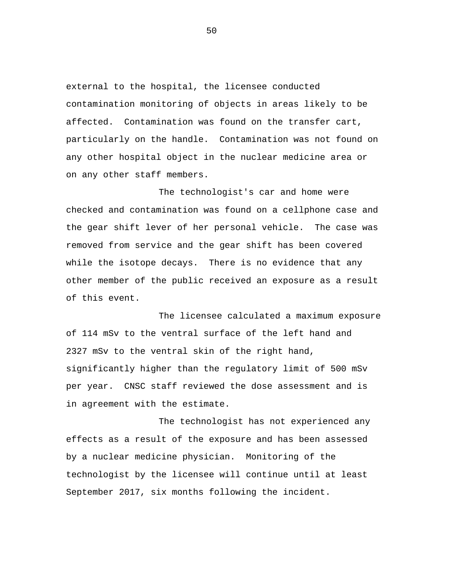external to the hospital, the licensee conducted contamination monitoring of objects in areas likely to be affected. Contamination was found on the transfer cart, particularly on the handle. Contamination was not found on any other hospital object in the nuclear medicine area or on any other staff members.

The technologist's car and home were checked and contamination was found on a cellphone case and the gear shift lever of her personal vehicle. The case was removed from service and the gear shift has been covered while the isotope decays. There is no evidence that any other member of the public received an exposure as a result of this event.

The licensee calculated a maximum exposure of 114 mSv to the ventral surface of the left hand and 2327 mSv to the ventral skin of the right hand, significantly higher than the regulatory limit of 500 mSv per year. CNSC staff reviewed the dose assessment and is in agreement with the estimate.

The technologist has not experienced any effects as a result of the exposure and has been assessed by a nuclear medicine physician. Monitoring of the technologist by the licensee will continue until at least September 2017, six months following the incident.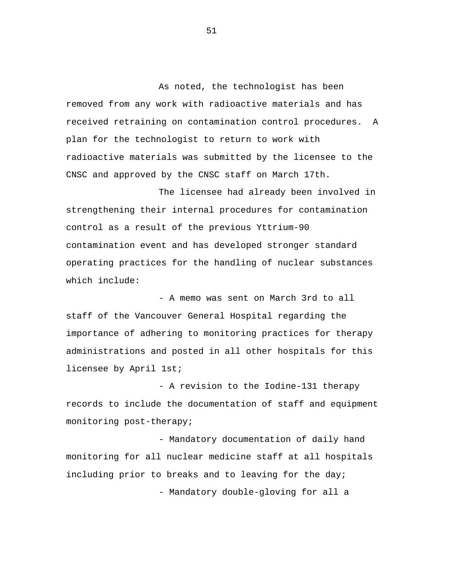As noted, the technologist has been removed from any work with radioactive materials and has received retraining on contamination control procedures. A plan for the technologist to return to work with radioactive materials was submitted by the licensee to the CNSC and approved by the CNSC staff on March 17th.

The licensee had already been involved in strengthening their internal procedures for contamination control as a result of the previous Yttrium-90 contamination event and has developed stronger standard operating practices for the handling of nuclear substances which include:

- A memo was sent on March 3rd to all staff of the Vancouver General Hospital regarding the importance of adhering to monitoring practices for therapy administrations and posted in all other hospitals for this licensee by April 1st;

- A revision to the Iodine-131 therapy records to include the documentation of staff and equipment monitoring post-therapy;

- Mandatory documentation of daily hand monitoring for all nuclear medicine staff at all hospitals including prior to breaks and to leaving for the day; - Mandatory double-gloving for all a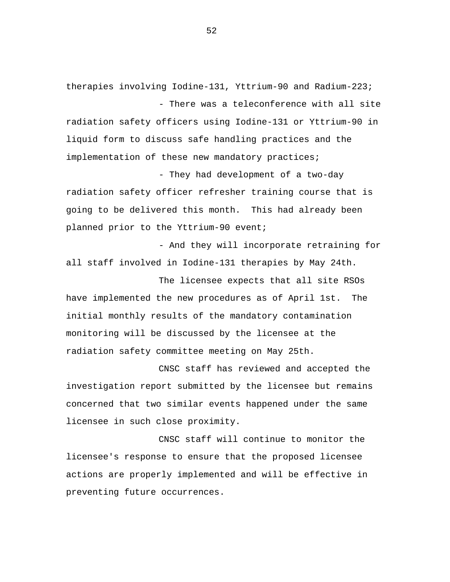therapies involving Iodine-131, Yttrium-90 and Radium-223; - There was a teleconference with all site

radiation safety officers using Iodine-131 or Yttrium-90 in liquid form to discuss safe handling practices and the implementation of these new mandatory practices;

- They had development of a two-day radiation safety officer refresher training course that is going to be delivered this month. This had already been planned prior to the Yttrium-90 event;

- And they will incorporate retraining for all staff involved in Iodine-131 therapies by May 24th.

The licensee expects that all site RSOs have implemented the new procedures as of April 1st. The initial monthly results of the mandatory contamination monitoring will be discussed by the licensee at the radiation safety committee meeting on May 25th.

CNSC staff has reviewed and accepted the investigation report submitted by the licensee but remains concerned that two similar events happened under the same licensee in such close proximity.

CNSC staff will continue to monitor the licensee's response to ensure that the proposed licensee actions are properly implemented and will be effective in preventing future occurrences.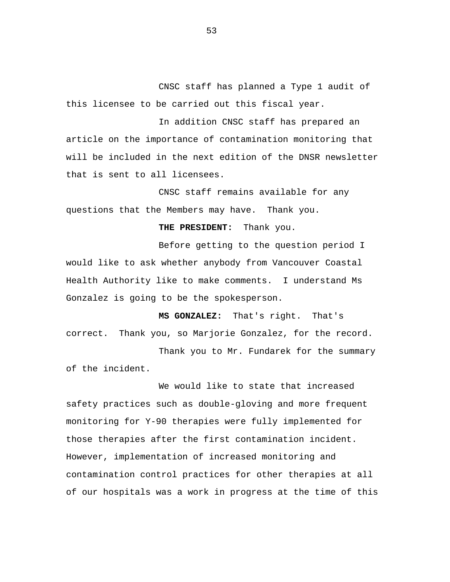CNSC staff has planned a Type 1 audit of this licensee to be carried out this fiscal year.

In addition CNSC staff has prepared an article on the importance of contamination monitoring that will be included in the next edition of the DNSR newsletter that is sent to all licensees.

CNSC staff remains available for any questions that the Members may have. Thank you.

**THE PRESIDENT:** Thank you.

Before getting to the question period I would like to ask whether anybody from Vancouver Coastal Health Authority like to make comments. I understand Ms Gonzalez is going to be the spokesperson.

**MS GONZALEZ:** That's right. That's correct. Thank you, so Marjorie Gonzalez, for the record.

Thank you to Mr. Fundarek for the summary of the incident.

We would like to state that increased safety practices such as double-gloving and more frequent monitoring for Y-90 therapies were fully implemented for those therapies after the first contamination incident. However, implementation of increased monitoring and contamination control practices for other therapies at all of our hospitals was a work in progress at the time of this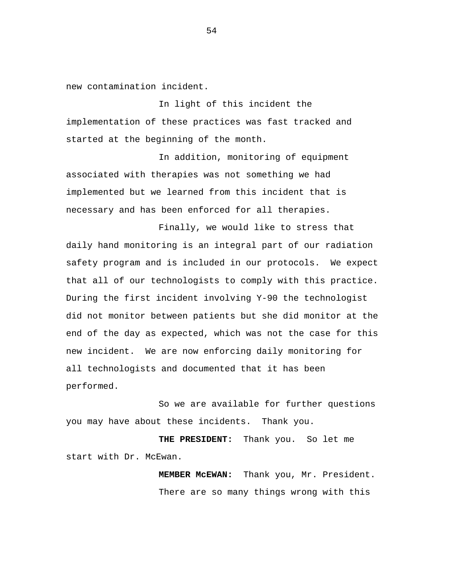new contamination incident.

In light of this incident the implementation of these practices was fast tracked and started at the beginning of the month.

In addition, monitoring of equipment associated with therapies was not something we had implemented but we learned from this incident that is necessary and has been enforced for all therapies.

Finally, we would like to stress that daily hand monitoring is an integral part of our radiation safety program and is included in our protocols. We expect that all of our technologists to comply with this practice. During the first incident involving Y-90 the technologist did not monitor between patients but she did monitor at the end of the day as expected, which was not the case for this new incident. We are now enforcing daily monitoring for all technologists and documented that it has been performed.

So we are available for further questions you may have about these incidents. Thank you.

**THE PRESIDENT:** Thank you. So let me start with Dr. McEwan.

> **MEMBER McEWAN:** Thank you, Mr. President. There are so many things wrong with this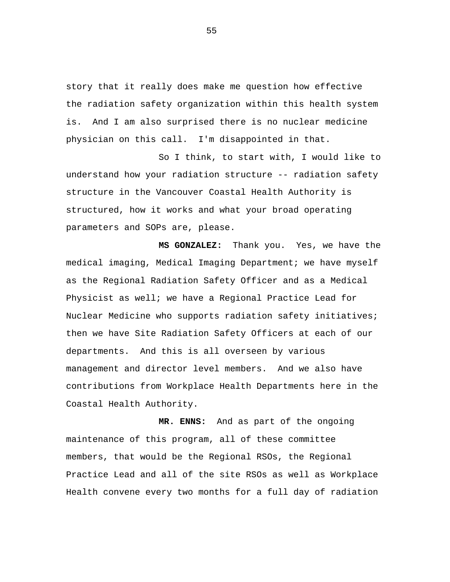story that it really does make me question how effective the radiation safety organization within this health system is. And I am also surprised there is no nuclear medicine physician on this call. I'm disappointed in that.

So I think, to start with, I would like to understand how your radiation structure -- radiation safety structure in the Vancouver Coastal Health Authority is structured, how it works and what your broad operating parameters and SOPs are, please.

 **MS GONZALEZ:** Thank you. Yes, we have the medical imaging, Medical Imaging Department; we have myself as the Regional Radiation Safety Officer and as a Medical Physicist as well; we have a Regional Practice Lead for Nuclear Medicine who supports radiation safety initiatives; then we have Site Radiation Safety Officers at each of our departments. And this is all overseen by various management and director level members. And we also have contributions from Workplace Health Departments here in the Coastal Health Authority.

**MR. ENNS:** And as part of the ongoing maintenance of this program, all of these committee members, that would be the Regional RSOs, the Regional Practice Lead and all of the site RSOs as well as Workplace Health convene every two months for a full day of radiation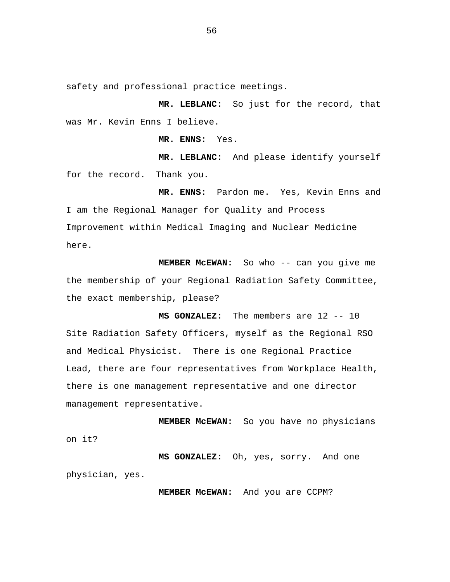safety and professional practice meetings.

**MR. LEBLANC:** So just for the record, that was Mr. Kevin Enns I believe.

**MR. ENNS:** Yes.

**MR. LEBLANC:** And please identify yourself for the record. Thank you.

**MR. ENNS:** Pardon me. Yes, Kevin Enns and I am the Regional Manager for Quality and Process Improvement within Medical Imaging and Nuclear Medicine here.

**MEMBER McEWAN:** So who -- can you give me the membership of your Regional Radiation Safety Committee, the exact membership, please?

**MS GONZALEZ:** The members are 12 -- 10 Site Radiation Safety Officers, myself as the Regional RSO and Medical Physicist. There is one Regional Practice Lead, there are four representatives from Workplace Health, there is one management representative and one director management representative.

**MEMBER McEWAN:** So you have no physicians on it?

**MS GONZALEZ:** Oh, yes, sorry. And one physician, yes.

**MEMBER McEWAN:** And you are CCPM?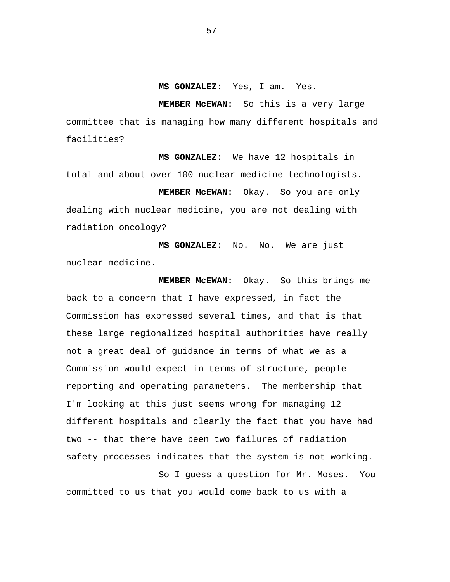**MS GONZALEZ:** Yes, I am. Yes.

**MEMBER McEWAN:** So this is a very large committee that is managing how many different hospitals and facilities?

**MS GONZALEZ:** We have 12 hospitals in total and about over 100 nuclear medicine technologists.

**MEMBER McEWAN:** Okay. So you are only dealing with nuclear medicine, you are not dealing with radiation oncology?

**MS GONZALEZ:** No. No. We are just nuclear medicine.

**MEMBER McEWAN:** Okay. So this brings me back to a concern that I have expressed, in fact the Commission has expressed several times, and that is that these large regionalized hospital authorities have really not a great deal of guidance in terms of what we as a Commission would expect in terms of structure, people reporting and operating parameters. The membership that I'm looking at this just seems wrong for managing 12 different hospitals and clearly the fact that you have had two -- that there have been two failures of radiation safety processes indicates that the system is not working.

So I guess a question for Mr. Moses. You committed to us that you would come back to us with a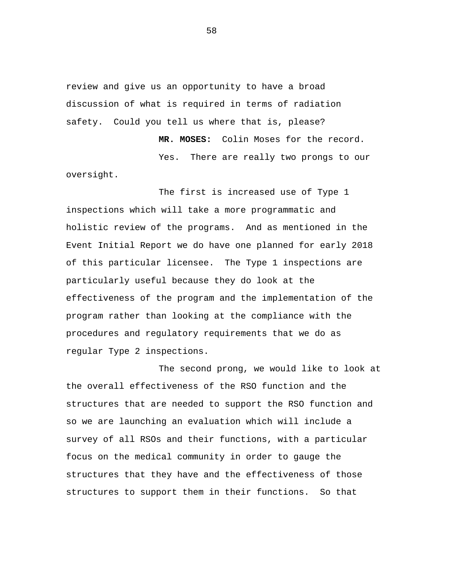review and give us an opportunity to have a broad discussion of what is required in terms of radiation safety. Could you tell us where that is, please?

**MR. MOSES:** Colin Moses for the record. Yes. There are really two prongs to our oversight.

The first is increased use of Type 1 inspections which will take a more programmatic and holistic review of the programs. And as mentioned in the Event Initial Report we do have one planned for early 2018 of this particular licensee. The Type 1 inspections are particularly useful because they do look at the effectiveness of the program and the implementation of the program rather than looking at the compliance with the procedures and regulatory requirements that we do as regular Type 2 inspections.

The second prong, we would like to look at the overall effectiveness of the RSO function and the structures that are needed to support the RSO function and so we are launching an evaluation which will include a survey of all RSOs and their functions, with a particular focus on the medical community in order to gauge the structures that they have and the effectiveness of those structures to support them in their functions. So that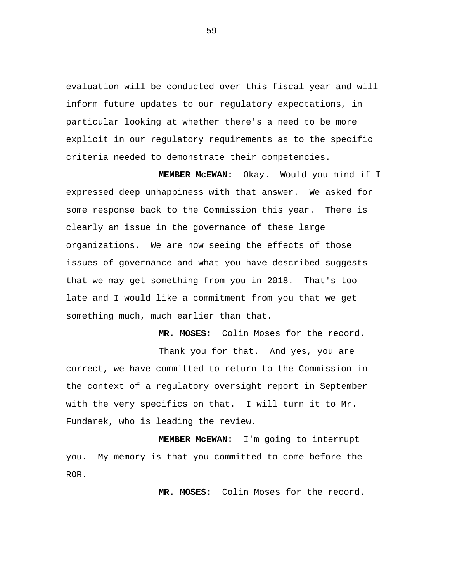evaluation will be conducted over this fiscal year and will inform future updates to our regulatory expectations, in particular looking at whether there's a need to be more explicit in our regulatory requirements as to the specific criteria needed to demonstrate their competencies.

**MEMBER McEWAN:** Okay. Would you mind if I expressed deep unhappiness with that answer. We asked for some response back to the Commission this year. There is clearly an issue in the governance of these large organizations. We are now seeing the effects of those issues of governance and what you have described suggests that we may get something from you in 2018. That's too late and I would like a commitment from you that we get something much, much earlier than that.

Thank you for that. And yes, you are correct, we have committed to return to the Commission in the context of a regulatory oversight report in September with the very specifics on that. I will turn it to Mr. Fundarek, who is leading the review.

**MEMBER McEWAN:** I'm going to interrupt you. My memory is that you committed to come before the ROR.

**MR. MOSES:** Colin Moses for the record.

**MR. MOSES:** Colin Moses for the record.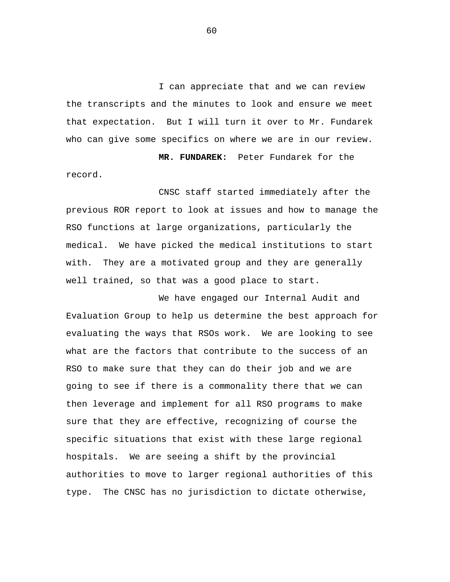I can appreciate that and we can review the transcripts and the minutes to look and ensure we meet that expectation. But I will turn it over to Mr. Fundarek who can give some specifics on where we are in our review.

**MR. FUNDAREK:** Peter Fundarek for the record.

CNSC staff started immediately after the previous ROR report to look at issues and how to manage the RSO functions at large organizations, particularly the medical. We have picked the medical institutions to start with. They are a motivated group and they are generally well trained, so that was a good place to start.

We have engaged our Internal Audit and Evaluation Group to help us determine the best approach for evaluating the ways that RSOs work. We are looking to see what are the factors that contribute to the success of an RSO to make sure that they can do their job and we are going to see if there is a commonality there that we can then leverage and implement for all RSO programs to make sure that they are effective, recognizing of course the specific situations that exist with these large regional hospitals. We are seeing a shift by the provincial authorities to move to larger regional authorities of this type. The CNSC has no jurisdiction to dictate otherwise,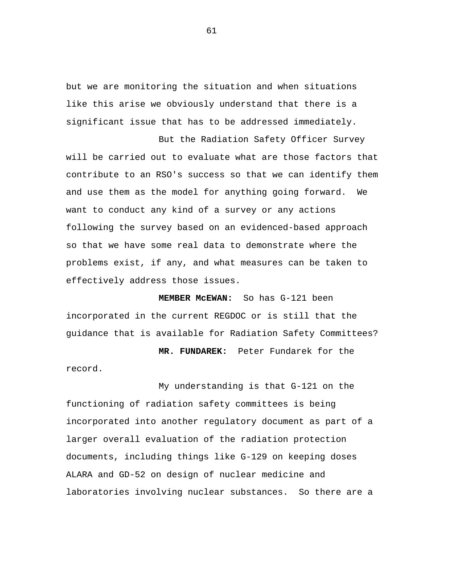but we are monitoring the situation and when situations like this arise we obviously understand that there is a significant issue that has to be addressed immediately.

But the Radiation Safety Officer Survey will be carried out to evaluate what are those factors that contribute to an RSO's success so that we can identify them and use them as the model for anything going forward. We want to conduct any kind of a survey or any actions following the survey based on an evidenced-based approach so that we have some real data to demonstrate where the problems exist, if any, and what measures can be taken to effectively address those issues.

**MEMBER McEWAN:** So has G-121 been incorporated in the current REGDOC or is still that the guidance that is available for Radiation Safety Committees?

**MR. FUNDAREK:** Peter Fundarek for the record.

My understanding is that G-121 on the functioning of radiation safety committees is being incorporated into another regulatory document as part of a larger overall evaluation of the radiation protection documents, including things like G-129 on keeping doses ALARA and GD-52 on design of nuclear medicine and laboratories involving nuclear substances. So there are a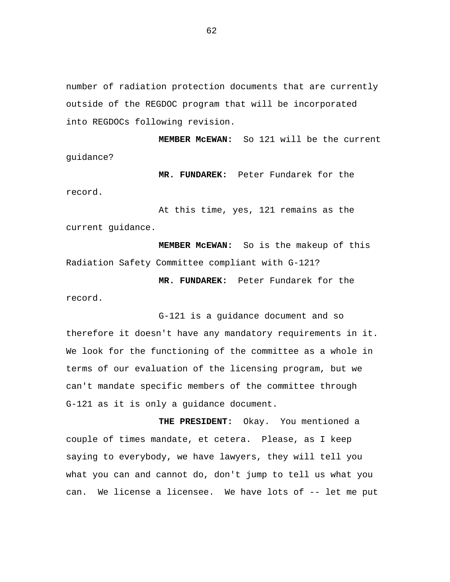number of radiation protection documents that are currently outside of the REGDOC program that will be incorporated into REGDOCs following revision.

**MEMBER McEWAN:** So 121 will be the current guidance?

**MR. FUNDAREK:** Peter Fundarek for the record.

At this time, yes, 121 remains as the current guidance.

**MEMBER McEWAN:** So is the makeup of this Radiation Safety Committee compliant with G-121?

**MR. FUNDAREK:** Peter Fundarek for the record.

G-121 is a guidance document and so therefore it doesn't have any mandatory requirements in it. We look for the functioning of the committee as a whole in terms of our evaluation of the licensing program, but we can't mandate specific members of the committee through G-121 as it is only a guidance document.

**THE PRESIDENT:** Okay. You mentioned a couple of times mandate, et cetera. Please, as I keep saying to everybody, we have lawyers, they will tell you what you can and cannot do, don't jump to tell us what you can. We license a licensee. We have lots of -- let me put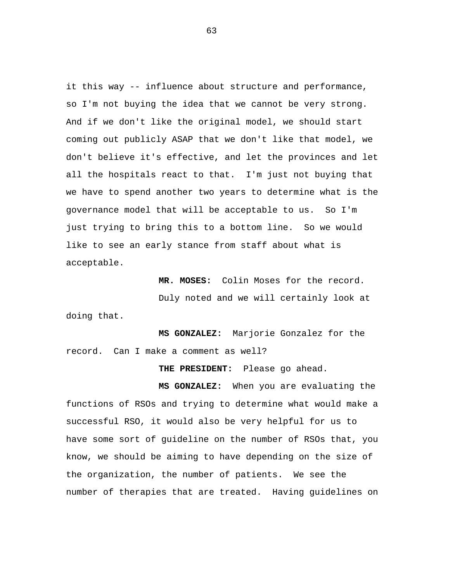it this way -- influence about structure and performance, so I'm not buying the idea that we cannot be very strong. And if we don't like the original model, we should start coming out publicly ASAP that we don't like that model, we don't believe it's effective, and let the provinces and let all the hospitals react to that. I'm just not buying that we have to spend another two years to determine what is the governance model that will be acceptable to us. So I'm just trying to bring this to a bottom line. So we would like to see an early stance from staff about what is acceptable.

**MR. MOSES:** Colin Moses for the record. Duly noted and we will certainly look at doing that.

**MS GONZALEZ:** Marjorie Gonzalez for the record. Can I make a comment as well?

**THE PRESIDENT:** Please go ahead.

**MS GONZALEZ:** When you are evaluating the functions of RSOs and trying to determine what would make a successful RSO, it would also be very helpful for us to have some sort of guideline on the number of RSOs that, you know, we should be aiming to have depending on the size of the organization, the number of patients. We see the number of therapies that are treated. Having guidelines on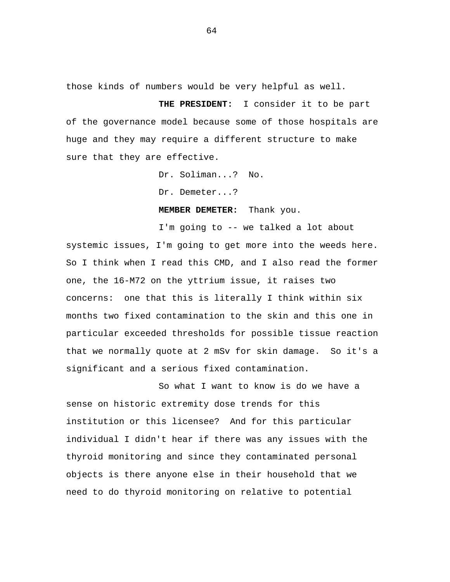those kinds of numbers would be very helpful as well.

**THE PRESIDENT:** I consider it to be part of the governance model because some of those hospitals are huge and they may require a different structure to make sure that they are effective.

Dr. Soliman...? No.

Dr. Demeter...?

**MEMBER DEMETER:** Thank you.

I'm going to -- we talked a lot about systemic issues, I'm going to get more into the weeds here. So I think when I read this CMD, and I also read the former one, the 16-M72 on the yttrium issue, it raises two concerns: one that this is literally I think within six months two fixed contamination to the skin and this one in particular exceeded thresholds for possible tissue reaction that we normally quote at 2 mSv for skin damage. So it's a significant and a serious fixed contamination.

So what I want to know is do we have a sense on historic extremity dose trends for this institution or this licensee? And for this particular individual I didn't hear if there was any issues with the thyroid monitoring and since they contaminated personal objects is there anyone else in their household that we need to do thyroid monitoring on relative to potential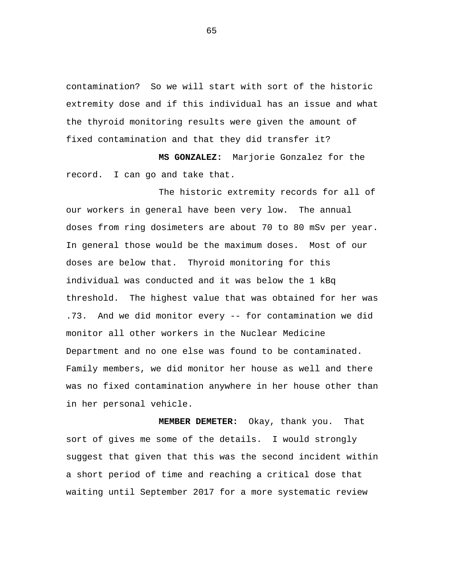contamination? So we will start with sort of the historic extremity dose and if this individual has an issue and what the thyroid monitoring results were given the amount of fixed contamination and that they did transfer it?

**MS GONZALEZ:** Marjorie Gonzalez for the record. I can go and take that.

The historic extremity records for all of our workers in general have been very low. The annual doses from ring dosimeters are about 70 to 80 mSv per year. In general those would be the maximum doses. Most of our doses are below that. Thyroid monitoring for this individual was conducted and it was below the 1 kBq threshold. The highest value that was obtained for her was .73. And we did monitor every -- for contamination we did monitor all other workers in the Nuclear Medicine Department and no one else was found to be contaminated. Family members, we did monitor her house as well and there was no fixed contamination anywhere in her house other than in her personal vehicle.

**MEMBER DEMETER:** Okay, thank you. That sort of gives me some of the details. I would strongly suggest that given that this was the second incident within a short period of time and reaching a critical dose that waiting until September 2017 for a more systematic review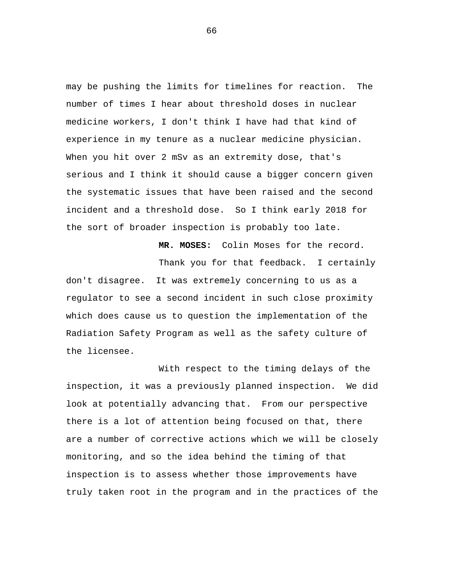may be pushing the limits for timelines for reaction. The number of times I hear about threshold doses in nuclear medicine workers, I don't think I have had that kind of experience in my tenure as a nuclear medicine physician. When you hit over 2 mSv as an extremity dose, that's serious and I think it should cause a bigger concern given the systematic issues that have been raised and the second incident and a threshold dose. So I think early 2018 for the sort of broader inspection is probably too late.

**MR. MOSES:** Colin Moses for the record. Thank you for that feedback. I certainly don't disagree. It was extremely concerning to us as a regulator to see a second incident in such close proximity which does cause us to question the implementation of the Radiation Safety Program as well as the safety culture of the licensee.

With respect to the timing delays of the inspection, it was a previously planned inspection. We did look at potentially advancing that. From our perspective there is a lot of attention being focused on that, there are a number of corrective actions which we will be closely monitoring, and so the idea behind the timing of that inspection is to assess whether those improvements have truly taken root in the program and in the practices of the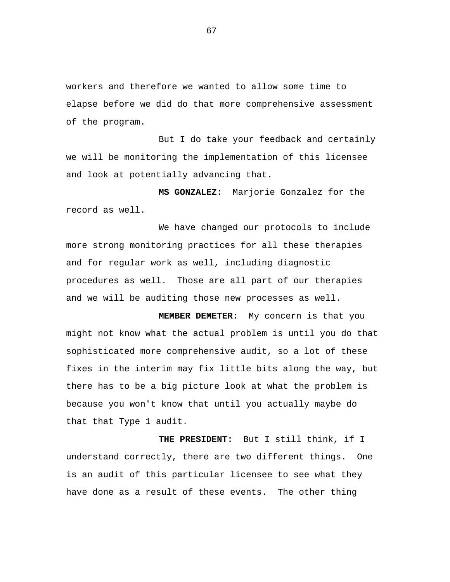workers and therefore we wanted to allow some time to elapse before we did do that more comprehensive assessment of the program.

But I do take your feedback and certainly we will be monitoring the implementation of this licensee and look at potentially advancing that.

**MS GONZALEZ:** Marjorie Gonzalez for the record as well.

We have changed our protocols to include more strong monitoring practices for all these therapies and for regular work as well, including diagnostic procedures as well. Those are all part of our therapies and we will be auditing those new processes as well.

**MEMBER DEMETER:** My concern is that you might not know what the actual problem is until you do that sophisticated more comprehensive audit, so a lot of these fixes in the interim may fix little bits along the way, but there has to be a big picture look at what the problem is because you won't know that until you actually maybe do that that Type 1 audit.

**THE PRESIDENT:** But I still think, if I understand correctly, there are two different things. One is an audit of this particular licensee to see what they have done as a result of these events. The other thing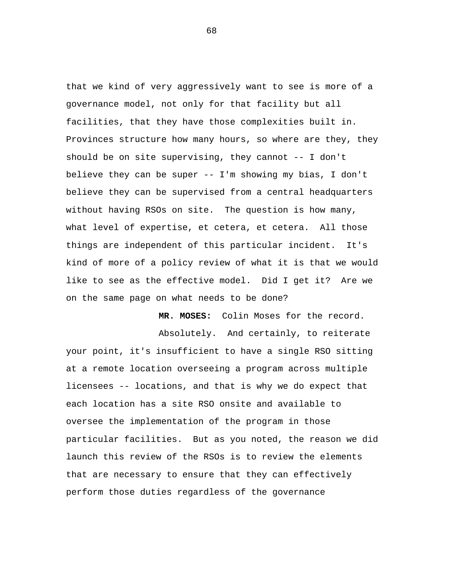that we kind of very aggressively want to see is more of a governance model, not only for that facility but all facilities, that they have those complexities built in. Provinces structure how many hours, so where are they, they should be on site supervising, they cannot -- I don't believe they can be super -- I'm showing my bias, I don't believe they can be supervised from a central headquarters without having RSOs on site. The question is how many, what level of expertise, et cetera, et cetera. All those things are independent of this particular incident. It's kind of more of a policy review of what it is that we would like to see as the effective model. Did I get it? Are we on the same page on what needs to be done?

**MR. MOSES:** Colin Moses for the record.

Absolutely. And certainly, to reiterate your point, it's insufficient to have a single RSO sitting at a remote location overseeing a program across multiple licensees -- locations, and that is why we do expect that each location has a site RSO onsite and available to oversee the implementation of the program in those particular facilities. But as you noted, the reason we did launch this review of the RSOs is to review the elements that are necessary to ensure that they can effectively perform those duties regardless of the governance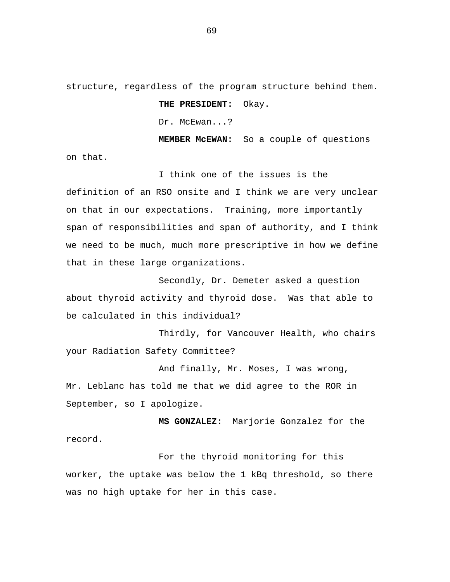structure, regardless of the program structure behind them.

## **THE PRESIDENT:** Okay.

Dr. McEwan...?

**MEMBER McEWAN:** So a couple of questions

on that.

I think one of the issues is the definition of an RSO onsite and I think we are very unclear on that in our expectations. Training, more importantly span of responsibilities and span of authority, and I think we need to be much, much more prescriptive in how we define that in these large organizations.

Secondly, Dr. Demeter asked a question about thyroid activity and thyroid dose. Was that able to be calculated in this individual?

Thirdly, for Vancouver Health, who chairs your Radiation Safety Committee?

And finally, Mr. Moses, I was wrong, Mr. Leblanc has told me that we did agree to the ROR in September, so I apologize.

**MS GONZALEZ:** Marjorie Gonzalez for the record.

For the thyroid monitoring for this worker, the uptake was below the 1 kBq threshold, so there was no high uptake for her in this case.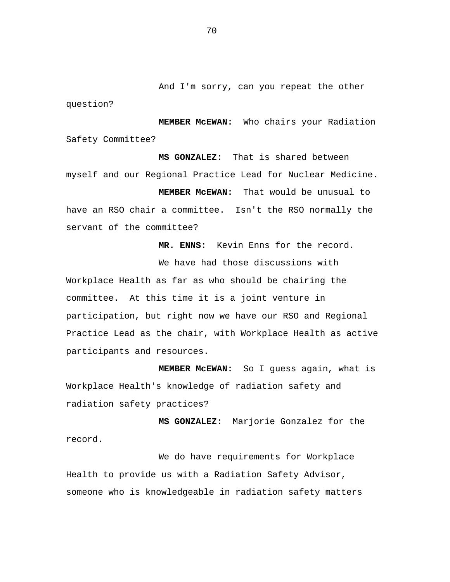And I'm sorry, can you repeat the other

**MEMBER McEWAN:** Who chairs your Radiation Safety Committee?

question?

**MS GONZALEZ:** That is shared between myself and our Regional Practice Lead for Nuclear Medicine.

**MEMBER McEWAN:** That would be unusual to have an RSO chair a committee. Isn't the RSO normally the servant of the committee?

**MR. ENNS:** Kevin Enns for the record.

We have had those discussions with

Workplace Health as far as who should be chairing the committee. At this time it is a joint venture in participation, but right now we have our RSO and Regional Practice Lead as the chair, with Workplace Health as active participants and resources.

**MEMBER McEWAN:** So I guess again, what is Workplace Health's knowledge of radiation safety and radiation safety practices?

**MS GONZALEZ:** Marjorie Gonzalez for the record.

We do have requirements for Workplace Health to provide us with a Radiation Safety Advisor, someone who is knowledgeable in radiation safety matters